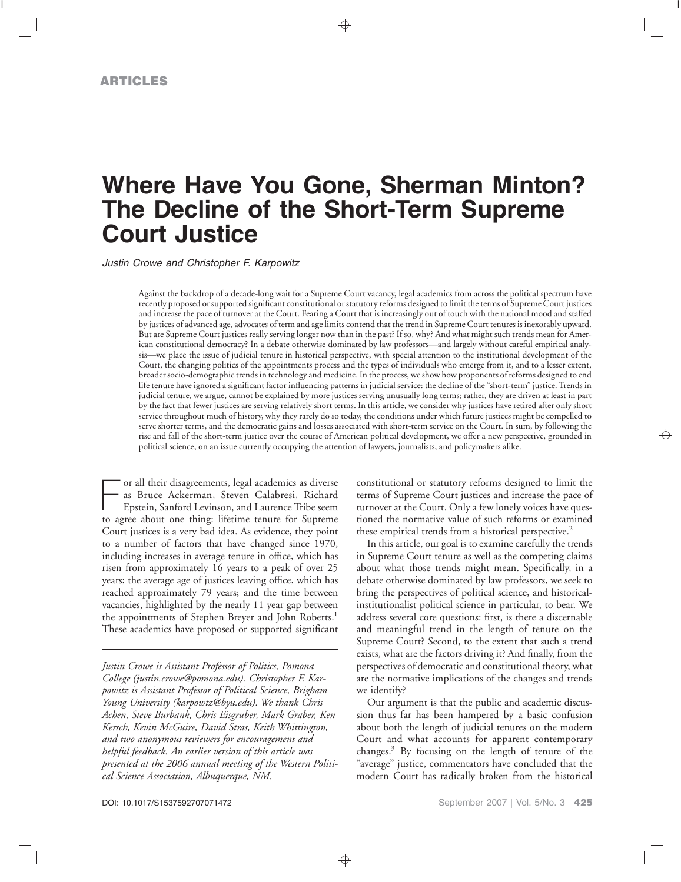# **Where Have You Gone, Sherman Minton? The Decline of the Short-Term Supreme Court Justice**

*Justin Crowe and Christopher F. Karpowitz*

Against the backdrop of a decade-long wait for a Supreme Court vacancy, legal academics from across the political spectrum have recently proposed or supported significant constitutional or statutory reforms designed to limit the terms of Supreme Court justices and increase the pace of turnover at the Court. Fearing a Court that is increasingly out of touch with the national mood and staffed by justices of advanced age, advocates of term and age limits contend that the trend in Supreme Court tenures is inexorably upward. But are Supreme Court justices really serving longer now than in the past? If so, why? And what might such trends mean for American constitutional democracy? In a debate otherwise dominated by law professors—and largely without careful empirical analysis—we place the issue of judicial tenure in historical perspective, with special attention to the institutional development of the Court, the changing politics of the appointments process and the types of individuals who emerge from it, and to a lesser extent, broader socio-demographic trends in technology and medicine. In the process, we show how proponents of reforms designed to end life tenure have ignored a significant factor influencing patterns in judicial service: the decline of the "short-term" justice. Trends in judicial tenure, we argue, cannot be explained by more justices serving unusually long terms; rather, they are driven at least in part by the fact that fewer justices are serving relatively short terms. In this article, we consider why justices have retired after only short service throughout much of history, why they rarely do so today, the conditions under which future justices might be compelled to serve shorter terms, and the democratic gains and losses associated with short-term service on the Court. In sum, by following the rise and fall of the short-term justice over the course of American political development, we offer a new perspective, grounded in political science, on an issue currently occupying the attention of lawyers, journalists, and policymakers alike.

For all their disagreements, legal academics as diverse<br>as Bruce Ackerman, Steven Calabresi, Richard<br>Epstein, Sanford Levinson, and Laurence Tribe seem<br>to agree about one thing: lifetime tenure for Supreme or all their disagreements, legal academics as diverse as Bruce Ackerman, Steven Calabresi, Richard Epstein, Sanford Levinson, and Laurence Tribe seem Court justices is a very bad idea. As evidence, they point to a number of factors that have changed since 1970, including increases in average tenure in office, which has risen from approximately 16 years to a peak of over 25 years; the average age of justices leaving office, which has reached approximately 79 years; and the time between vacancies, highlighted by the nearly 11 year gap between the appointments of Stephen Breyer and John Roberts.<sup>1</sup> These academics have proposed or supported significant

*Justin Crowe is Assistant Professor of Politics, Pomona College (justin.crowe@pomona.edu). Christopher F. Karpowitz is Assistant Professor of Political Science, Brigham Young University (karpowtz@byu.edu). We thank Chris Achen, Steve Burbank, Chris Eisgruber, Mark Graber, Ken Kersch, Kevin McGuire, David Stras, Keith Whittington, and two anonymous reviewers for encouragement and helpful feedback. An earlier version of this article was presented at the 2006 annual meeting of the Western Political Science Association, Albuquerque, NM.*

constitutional or statutory reforms designed to limit the terms of Supreme Court justices and increase the pace of turnover at the Court. Only a few lonely voices have questioned the normative value of such reforms or examined these empirical trends from a historical perspective.<sup>2</sup>

In this article, our goal is to examine carefully the trends in Supreme Court tenure as well as the competing claims about what those trends might mean. Specifically, in a debate otherwise dominated by law professors, we seek to bring the perspectives of political science, and historicalinstitutionalist political science in particular, to bear. We address several core questions: first, is there a discernable and meaningful trend in the length of tenure on the Supreme Court? Second, to the extent that such a trend exists, what are the factors driving it? And finally, from the perspectives of democratic and constitutional theory, what are the normative implications of the changes and trends we identify?

Our argument is that the public and academic discussion thus far has been hampered by a basic confusion about both the length of judicial tenures on the modern Court and what accounts for apparent contemporary changes.<sup>3</sup> By focusing on the length of tenure of the "average" justice, commentators have concluded that the modern Court has radically broken from the historical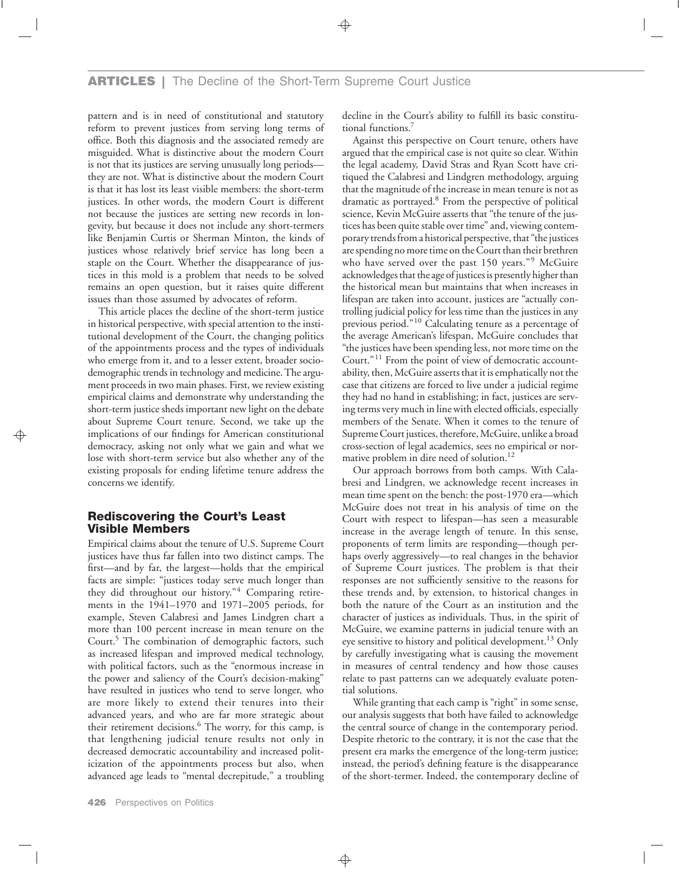## **ARTICLES |** The Decline of the Short-Term Supreme Court Justice

pattern and is in need of constitutional and statutory reform to prevent justices from serving long terms of office. Both this diagnosis and the associated remedy are misguided. What is distinctive about the modern Court is not that its justices are serving unusually long periods they are not. What is distinctive about the modern Court is that it has lost its least visible members: the short-term justices. In other words, the modern Court is different not because the justices are setting new records in longevity, but because it does not include any short-termers like Benjamin Curtis or Sherman Minton, the kinds of justices whose relatively brief service has long been a staple on the Court. Whether the disappearance of justices in this mold is a problem that needs to be solved remains an open question, but it raises quite different issues than those assumed by advocates of reform.

This article places the decline of the short-term justice in historical perspective, with special attention to the institutional development of the Court, the changing politics of the appointments process and the types of individuals who emerge from it, and to a lesser extent, broader sociodemographic trends in technology and medicine. The argument proceeds in two main phases. First, we review existing empirical claims and demonstrate why understanding the short-term justice sheds important new light on the debate about Supreme Court tenure. Second, we take up the implications of our findings for American constitutional democracy, asking not only what we gain and what we lose with short-term service but also whether any of the existing proposals for ending lifetime tenure address the concerns we identify.

## **Rediscovering the Court's Least Visible Members**

Empirical claims about the tenure of U.S. Supreme Court justices have thus far fallen into two distinct camps. The first—and by far, the largest—holds that the empirical facts are simple: "justices today serve much longer than they did throughout our history."<sup>4</sup> Comparing retirements in the 1941–1970 and 1971–2005 periods, for example, Steven Calabresi and James Lindgren chart a more than 100 percent increase in mean tenure on the Court.<sup>5</sup> The combination of demographic factors, such as increased lifespan and improved medical technology, with political factors, such as the "enormous increase in the power and saliency of the Court's decision-making" have resulted in justices who tend to serve longer, who are more likely to extend their tenures into their advanced years, and who are far more strategic about their retirement decisions.<sup>6</sup> The worry, for this camp, is that lengthening judicial tenure results not only in decreased democratic accountability and increased politicization of the appointments process but also, when advanced age leads to "mental decrepitude," a troubling

decline in the Court's ability to fulfill its basic constitutional functions.<sup>7</sup>

Against this perspective on Court tenure, others have argued that the empirical case is not quite so clear. Within the legal academy, David Stras and Ryan Scott have critiqued the Calabresi and Lindgren methodology, arguing that the magnitude of the increase in mean tenure is not as dramatic as portrayed.8 From the perspective of political science, Kevin McGuire asserts that "the tenure of the justices has been quite stable over time" and, viewing contemporary trendsfrom a historical perspective, that "the justices are spending no more time on the Court than their brethren who have served over the past 150 years."<sup>9</sup> McGuire acknowledges that the age of justices is presently higher than the historical mean but maintains that when increases in lifespan are taken into account, justices are "actually controlling judicial policy for less time than the justices in any previous period."<sup>10</sup> Calculating tenure as a percentage of the average American's lifespan, McGuire concludes that "the justices have been spending less, not more time on the Court."<sup>11</sup> From the point of view of democratic accountability, then, McGuire asserts that it is emphatically not the case that citizens are forced to live under a judicial regime they had no hand in establishing; in fact, justices are serving terms very much in line with elected officials, especially members of the Senate. When it comes to the tenure of Supreme Court justices, therefore, McGuire, unlike a broad cross-section of legal academics, sees no empirical or normative problem in dire need of solution.<sup>12</sup>

Our approach borrows from both camps. With Calabresi and Lindgren, we acknowledge recent increases in mean time spent on the bench: the post-1970 era—which McGuire does not treat in his analysis of time on the Court with respect to lifespan—has seen a measurable increase in the average length of tenure. In this sense, proponents of term limits are responding—though perhaps overly aggressively—to real changes in the behavior of Supreme Court justices. The problem is that their responses are not sufficiently sensitive to the reasons for these trends and, by extension, to historical changes in both the nature of the Court as an institution and the character of justices as individuals. Thus, in the spirit of McGuire, we examine patterns in judicial tenure with an eye sensitive to history and political development.<sup>13</sup> Only by carefully investigating what is causing the movement in measures of central tendency and how those causes relate to past patterns can we adequately evaluate potential solutions.

While granting that each camp is "right" in some sense, our analysis suggests that both have failed to acknowledge the central source of change in the contemporary period. Despite rhetoric to the contrary, it is not the case that the present era marks the emergence of the long-term justice; instead, the period's defining feature is the disappearance of the short-termer. Indeed, the contemporary decline of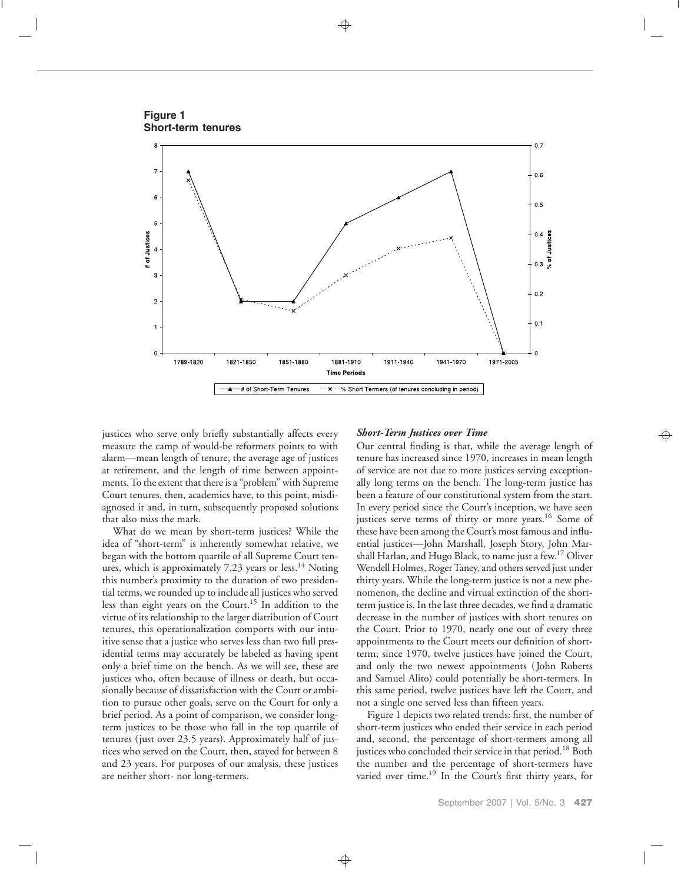**Figure 1 Short-term tenures**



justices who serve only briefly substantially affects every measure the camp of would-be reformers points to with alarm—mean length of tenure, the average age of justices at retirement, and the length of time between appointments. To the extent that there is a "problem" with Supreme Court tenures, then, academics have, to this point, misdiagnosed it and, in turn, subsequently proposed solutions that also miss the mark.

What do we mean by short-term justices? While the idea of "short-term" is inherently somewhat relative, we began with the bottom quartile of all Supreme Court tenures, which is approximately  $7.23$  years or less.<sup>14</sup> Noting this number's proximity to the duration of two presidential terms, we rounded up to include all justices who served less than eight years on the Court.15 In addition to the virtue of its relationship to the larger distribution of Court tenures, this operationalization comports with our intuitive sense that a justice who serves less than two full presidential terms may accurately be labeled as having spent only a brief time on the bench. As we will see, these are justices who, often because of illness or death, but occasionally because of dissatisfaction with the Court or ambition to pursue other goals, serve on the Court for only a brief period. As a point of comparison, we consider longterm justices to be those who fall in the top quartile of tenures (just over 23.5 years). Approximately half of justices who served on the Court, then, stayed for between 8 and 23 years. For purposes of our analysis, these justices are neither short- nor long-termers.

#### *Short-Term Justices over Time*

Our central finding is that, while the average length of tenure has increased since 1970, increases in mean length of service are not due to more justices serving exceptionally long terms on the bench. The long-term justice has been a feature of our constitutional system from the start. In every period since the Court's inception, we have seen justices serve terms of thirty or more years.<sup>16</sup> Some of these have been among the Court's most famous and influential justices—John Marshall, Joseph Story, John Marshall Harlan, and Hugo Black, to name just a few.<sup>17</sup> Oliver Wendell Holmes, Roger Taney, and others served just under thirty years. While the long-term justice is not a new phenomenon, the decline and virtual extinction of the shortterm justice is. In the last three decades, we find a dramatic decrease in the number of justices with short tenures on the Court. Prior to 1970, nearly one out of every three appointments to the Court meets our definition of shortterm; since 1970, twelve justices have joined the Court, and only the two newest appointments ( John Roberts and Samuel Alito) could potentially be short-termers. In this same period, twelve justices have left the Court, and not a single one served less than fifteen years.

Figure 1 depicts two related trends: first, the number of short-term justices who ended their service in each period and, second, the percentage of short-termers among all justices who concluded their service in that period.<sup>18</sup> Both the number and the percentage of short-termers have varied over time.<sup>19</sup> In the Court's first thirty years, for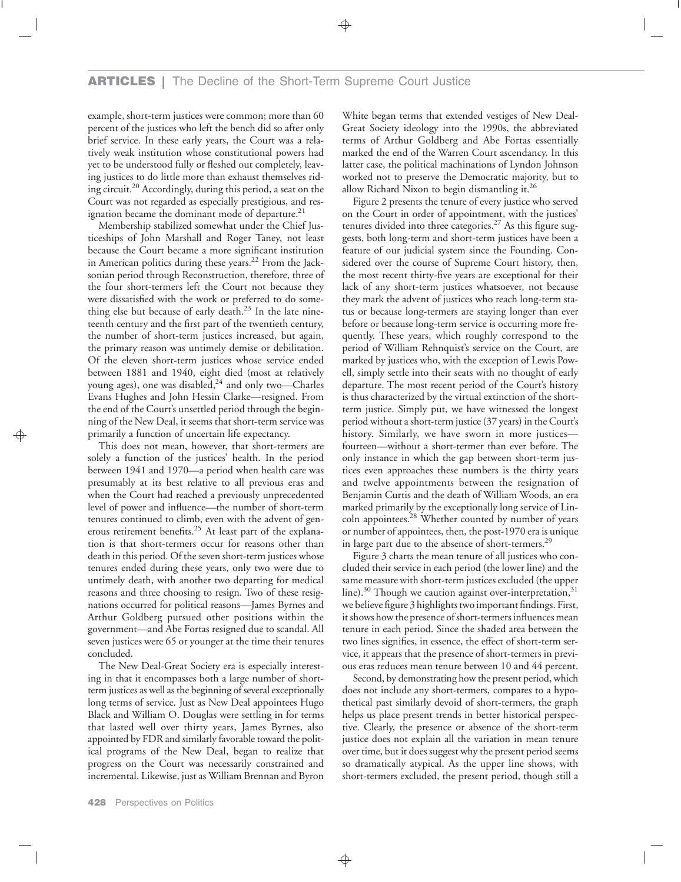example, short-term justices were common; more than 60 percent of the justices who left the bench did so after only brief service. In these early years, the Court was a relatively weak institution whose constitutional powers had yet to be understood fully or fleshed out completely, leaving justices to do little more than exhaust themselves riding circuit.20 Accordingly, during this period, a seat on the Court was not regarded as especially prestigious, and resignation became the dominant mode of departure.<sup>21</sup>

Membership stabilized somewhat under the Chief Justiceships of John Marshall and Roger Taney, not least because the Court became a more significant institution in American politics during these years.<sup>22</sup> From the Jacksonian period through Reconstruction, therefore, three of the four short-termers left the Court not because they were dissatisfied with the work or preferred to do something else but because of early death. $23$  In the late nineteenth century and the first part of the twentieth century, the number of short-term justices increased, but again, the primary reason was untimely demise or debilitation. Of the eleven short-term justices whose service ended between 1881 and 1940, eight died (most at relatively young ages), one was disabled, $24$  and only two—Charles Evans Hughes and John Hessin Clarke—resigned. From the end of the Court's unsettled period through the beginning of the New Deal, it seems that short-term service was primarily a function of uncertain life expectancy.

This does not mean, however, that short-termers are solely a function of the justices' health. In the period between 1941 and 1970—a period when health care was presumably at its best relative to all previous eras and when the Court had reached a previously unprecedented level of power and influence—the number of short-term tenures continued to climb, even with the advent of generous retirement benefits.<sup>25</sup> At least part of the explanation is that short-termers occur for reasons other than death in this period. Of the seven short-term justices whose tenures ended during these years, only two were due to untimely death, with another two departing for medical reasons and three choosing to resign. Two of these resignations occurred for political reasons—James Byrnes and Arthur Goldberg pursued other positions within the government—and Abe Fortas resigned due to scandal. All seven justices were 65 or younger at the time their tenures concluded.

The New Deal-Great Society era is especially interesting in that it encompasses both a large number of shortterm justices as well as the beginning of several exceptionally long terms of service. Just as New Deal appointees Hugo Black and William O. Douglas were settling in for terms that lasted well over thirty years, James Byrnes, also appointed by FDR and similarly favorable toward the political programs of the New Deal, began to realize that progress on the Court was necessarily constrained and incremental. Likewise, just as William Brennan and Byron

White began terms that extended vestiges of New Deal-Great Society ideology into the 1990s, the abbreviated terms of Arthur Goldberg and Abe Fortas essentially marked the end of the Warren Court ascendancy. In this latter case, the political machinations of Lyndon Johnson worked not to preserve the Democratic majority, but to allow Richard Nixon to begin dismantling it.<sup>26</sup>

Figure 2 presents the tenure of every justice who served on the Court in order of appointment, with the justices' tenures divided into three categories.<sup>27</sup> As this figure suggests, both long-term and short-term justices have been a feature of our judicial system since the Founding. Considered over the course of Supreme Court history, then, the most recent thirty-five years are exceptional for their lack of any short-term justices whatsoever, not because they mark the advent of justices who reach long-term status or because long-termers are staying longer than ever before or because long-term service is occurring more frequently. These years, which roughly correspond to the period of William Rehnquist's service on the Court, are marked by justices who, with the exception of Lewis Powell, simply settle into their seats with no thought of early departure. The most recent period of the Court's history is thus characterized by the virtual extinction of the shortterm justice. Simply put, we have witnessed the longest period without a short-term justice (37 years) in the Court's history. Similarly, we have sworn in more justices fourteen—without a short-termer than ever before. The only instance in which the gap between short-term justices even approaches these numbers is the thirty years and twelve appointments between the resignation of Benjamin Curtis and the death of William Woods, an era marked primarily by the exceptionally long service of Lincoln appointees.28 Whether counted by number of years or number of appointees, then, the post-1970 era is unique in large part due to the absence of short-termers.<sup>29</sup>

Figure 3 charts the mean tenure of all justices who concluded their service in each period (the lower line) and the same measure with short-term justices excluded (the upper line). $30$  Though we caution against over-interpretation, $31$ we believe figure 3 highlights two important findings. First, it shows how the presence of short-termers influences mean tenure in each period. Since the shaded area between the two lines signifies, in essence, the effect of short-term service, it appears that the presence of short-termers in previous eras reduces mean tenure between 10 and 44 percent.

Second, by demonstrating how the present period, which does not include any short-termers, compares to a hypothetical past similarly devoid of short-termers, the graph helps us place present trends in better historical perspective. Clearly, the presence or absence of the short-term justice does not explain all the variation in mean tenure over time, but it does suggest why the present period seems so dramatically atypical. As the upper line shows, with short-termers excluded, the present period, though still a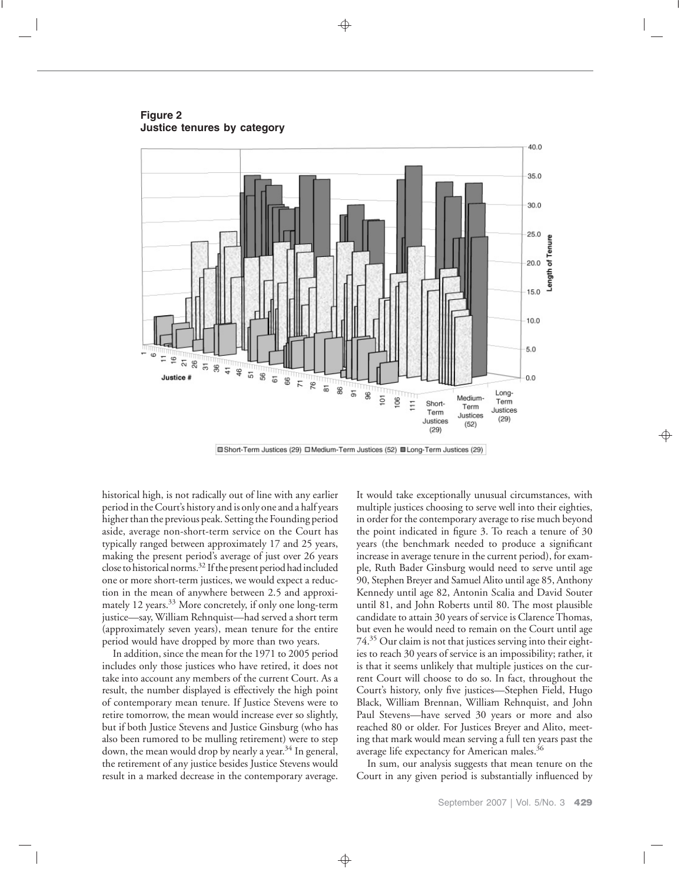**Figure 2 Justice tenures by category**



□Short-Term Justices (29) □ Medium-Term Justices (52) ■ Long-Term Justices (29)

historical high, is not radically out of line with any earlier period in the Court's history and is only one and a half years higher than the previous peak. Setting the Founding period aside, average non-short-term service on the Court has typically ranged between approximately 17 and 25 years, making the present period's average of just over 26 years close to historical norms.<sup>32</sup> If the present period had included one or more short-term justices, we would expect a reduction in the mean of anywhere between 2.5 and approximately 12 years.<sup>33</sup> More concretely, if only one long-term justice—say, William Rehnquist—had served a short term (approximately seven years), mean tenure for the entire period would have dropped by more than two years.

In addition, since the mean for the 1971 to 2005 period includes only those justices who have retired, it does not take into account any members of the current Court. As a result, the number displayed is effectively the high point of contemporary mean tenure. If Justice Stevens were to retire tomorrow, the mean would increase ever so slightly, but if both Justice Stevens and Justice Ginsburg (who has also been rumored to be mulling retirement) were to step down, the mean would drop by nearly a year.<sup>34</sup> In general, the retirement of any justice besides Justice Stevens would result in a marked decrease in the contemporary average.

It would take exceptionally unusual circumstances, with multiple justices choosing to serve well into their eighties, in order for the contemporary average to rise much beyond the point indicated in figure 3. To reach a tenure of 30 years (the benchmark needed to produce a significant increase in average tenure in the current period), for example, Ruth Bader Ginsburg would need to serve until age 90, Stephen Breyer and Samuel Alito until age 85, Anthony Kennedy until age 82, Antonin Scalia and David Souter until 81, and John Roberts until 80. The most plausible candidate to attain 30 years of service is Clarence Thomas, but even he would need to remain on the Court until age 74.35 Our claim is not that justices serving into their eighties to reach 30 years of service is an impossibility; rather, it is that it seems unlikely that multiple justices on the current Court will choose to do so. In fact, throughout the Court's history, only five justices—Stephen Field, Hugo Black, William Brennan, William Rehnquist, and John Paul Stevens—have served 30 years or more and also reached 80 or older. For Justices Breyer and Alito, meeting that mark would mean serving a full ten years past the average life expectancy for American males.<sup>36</sup>

In sum, our analysis suggests that mean tenure on the Court in any given period is substantially influenced by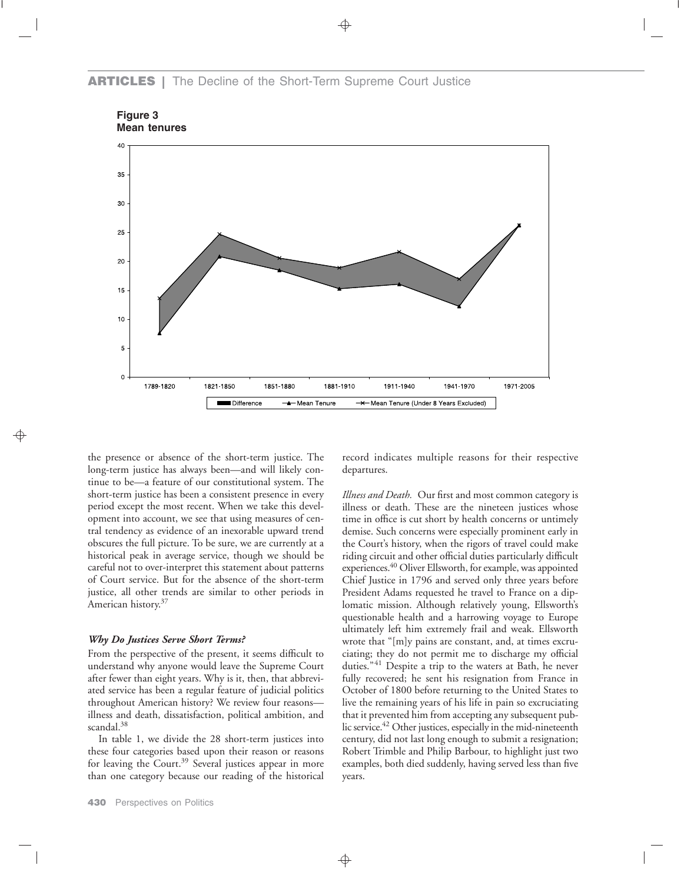## **ARTICLES |** The Decline of the Short-Term Supreme Court Justice





the presence or absence of the short-term justice. The long-term justice has always been—and will likely continue to be—a feature of our constitutional system. The short-term justice has been a consistent presence in every period except the most recent. When we take this development into account, we see that using measures of central tendency as evidence of an inexorable upward trend obscures the full picture. To be sure, we are currently at a historical peak in average service, though we should be careful not to over-interpret this statement about patterns of Court service. But for the absence of the short-term justice, all other trends are similar to other periods in American history.37

#### *Why Do Justices Serve Short Terms?*

From the perspective of the present, it seems difficult to understand why anyone would leave the Supreme Court after fewer than eight years. Why is it, then, that abbreviated service has been a regular feature of judicial politics throughout American history? We review four reasons illness and death, dissatisfaction, political ambition, and scandal.<sup>38</sup>

In table 1, we divide the 28 short-term justices into these four categories based upon their reason or reasons for leaving the Court.<sup>39</sup> Several justices appear in more than one category because our reading of the historical

**430** Perspectives on Politics

record indicates multiple reasons for their respective departures.

*Illness and Death.* Our first and most common category is illness or death. These are the nineteen justices whose time in office is cut short by health concerns or untimely demise. Such concerns were especially prominent early in the Court's history, when the rigors of travel could make riding circuit and other official duties particularly difficult experiences.<sup>40</sup> Oliver Ellsworth, for example, was appointed Chief Justice in 1796 and served only three years before President Adams requested he travel to France on a diplomatic mission. Although relatively young, Ellsworth's questionable health and a harrowing voyage to Europe ultimately left him extremely frail and weak. Ellsworth wrote that "[m]y pains are constant, and, at times excruciating; they do not permit me to discharge my official duties."<sup>41</sup> Despite a trip to the waters at Bath, he never fully recovered; he sent his resignation from France in October of 1800 before returning to the United States to live the remaining years of his life in pain so excruciating that it prevented him from accepting any subsequent public service.<sup>42</sup> Other justices, especially in the mid-nineteenth century, did not last long enough to submit a resignation; Robert Trimble and Philip Barbour, to highlight just two examples, both died suddenly, having served less than five years.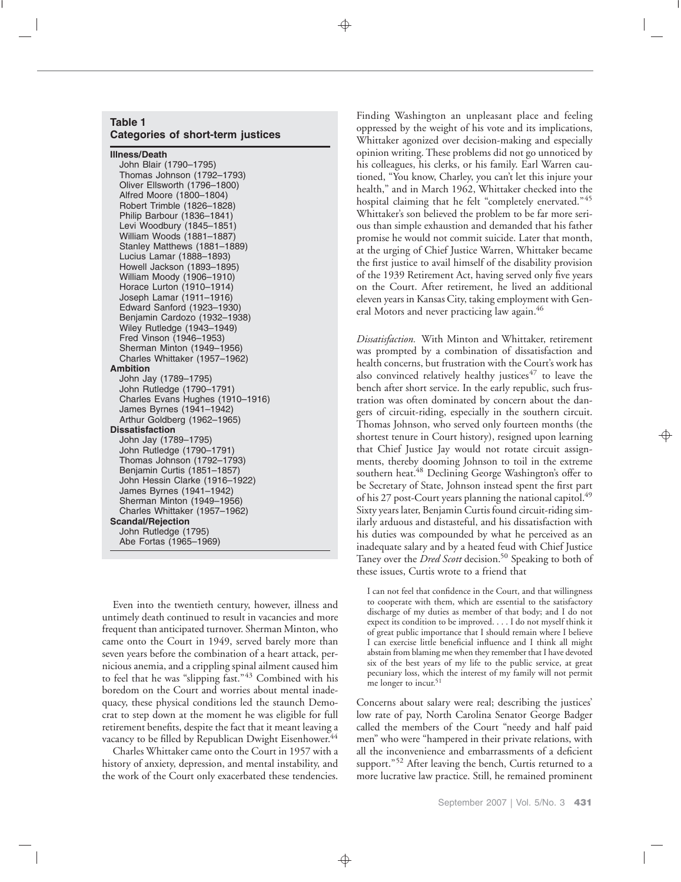#### **Table 1 Categories of short-term justices**

**Illness/Death**

John Blair (1790–1795) Thomas Johnson (1792–1793) Oliver Ellsworth (1796–1800) Alfred Moore (1800–1804) Robert Trimble (1826–1828) Philip Barbour (1836–1841) Levi Woodbury (1845–1851) William Woods (1881–1887) Stanley Matthews (1881–1889) Lucius Lamar (1888–1893) Howell Jackson (1893–1895) William Moody (1906–1910) Horace Lurton (1910–1914) Joseph Lamar (1911–1916) Edward Sanford (1923–1930) Benjamin Cardozo (1932–1938) Wiley Rutledge (1943–1949) Fred Vinson (1946–1953) Sherman Minton (1949–1956) Charles Whittaker (1957–1962) **Ambition** John Jay (1789–1795) John Rutledge (1790–1791) Charles Evans Hughes (1910–1916) James Byrnes (1941–1942) Arthur Goldberg (1962–1965) **Dissatisfaction** John Jay (1789–1795) John Rutledge (1790–1791) Thomas Johnson (1792–1793) Benjamin Curtis (1851–1857) John Hessin Clarke (1916–1922) James Byrnes (1941–1942) Sherman Minton (1949–1956) Charles Whittaker (1957–1962) **Scandal/Rejection** John Rutledge (1795) Abe Fortas (1965–1969)

Even into the twentieth century, however, illness and untimely death continued to result in vacancies and more frequent than anticipated turnover. Sherman Minton, who came onto the Court in 1949, served barely more than seven years before the combination of a heart attack, pernicious anemia, and a crippling spinal ailment caused him to feel that he was "slipping fast."<sup>43</sup> Combined with his boredom on the Court and worries about mental inadequacy, these physical conditions led the staunch Democrat to step down at the moment he was eligible for full retirement benefits, despite the fact that it meant leaving a vacancy to be filled by Republican Dwight Eisenhower.<sup>44</sup>

Charles Whittaker came onto the Court in 1957 with a history of anxiety, depression, and mental instability, and the work of the Court only exacerbated these tendencies. Finding Washington an unpleasant place and feeling oppressed by the weight of his vote and its implications, Whittaker agonized over decision-making and especially opinion writing. These problems did not go unnoticed by his colleagues, his clerks, or his family. Earl Warren cautioned, "You know, Charley, you can't let this injure your health," and in March 1962, Whittaker checked into the hospital claiming that he felt "completely enervated."<sup>45</sup> Whittaker's son believed the problem to be far more serious than simple exhaustion and demanded that his father promise he would not commit suicide. Later that month, at the urging of Chief Justice Warren, Whittaker became the first justice to avail himself of the disability provision of the 1939 Retirement Act, having served only five years on the Court. After retirement, he lived an additional eleven years in Kansas City, taking employment with General Motors and never practicing law again.<sup>46</sup>

*Dissatisfaction.* With Minton and Whittaker, retirement was prompted by a combination of dissatisfaction and health concerns, but frustration with the Court's work has also convinced relatively healthy justices $47$  to leave the bench after short service. In the early republic, such frustration was often dominated by concern about the dangers of circuit-riding, especially in the southern circuit. Thomas Johnson, who served only fourteen months (the shortest tenure in Court history), resigned upon learning that Chief Justice Jay would not rotate circuit assignments, thereby dooming Johnson to toil in the extreme southern heat.<sup>48</sup> Declining George Washington's offer to be Secretary of State, Johnson instead spent the first part of his 27 post-Court years planning the national capitol.<sup>49</sup> Sixty years later, Benjamin Curtis found circuit-riding similarly arduous and distasteful, and his dissatisfaction with his duties was compounded by what he perceived as an inadequate salary and by a heated feud with Chief Justice Taney over the *Dred Scott* decision.<sup>50</sup> Speaking to both of these issues, Curtis wrote to a friend that

I can not feel that confidence in the Court, and that willingness to cooperate with them, which are essential to the satisfactory discharge of my duties as member of that body; and I do not expect its condition to be improved. . . . I do not myself think it of great public importance that I should remain where I believe I can exercise little beneficial influence and I think all might abstain from blaming me when they remember that I have devoted six of the best years of my life to the public service, at great pecuniary loss, which the interest of my family will not permit me longer to incur.<sup>51</sup>

Concerns about salary were real; describing the justices' low rate of pay, North Carolina Senator George Badger called the members of the Court "needy and half paid men" who were "hampered in their private relations, with all the inconvenience and embarrassments of a deficient support."<sup>52</sup> After leaving the bench, Curtis returned to a more lucrative law practice. Still, he remained prominent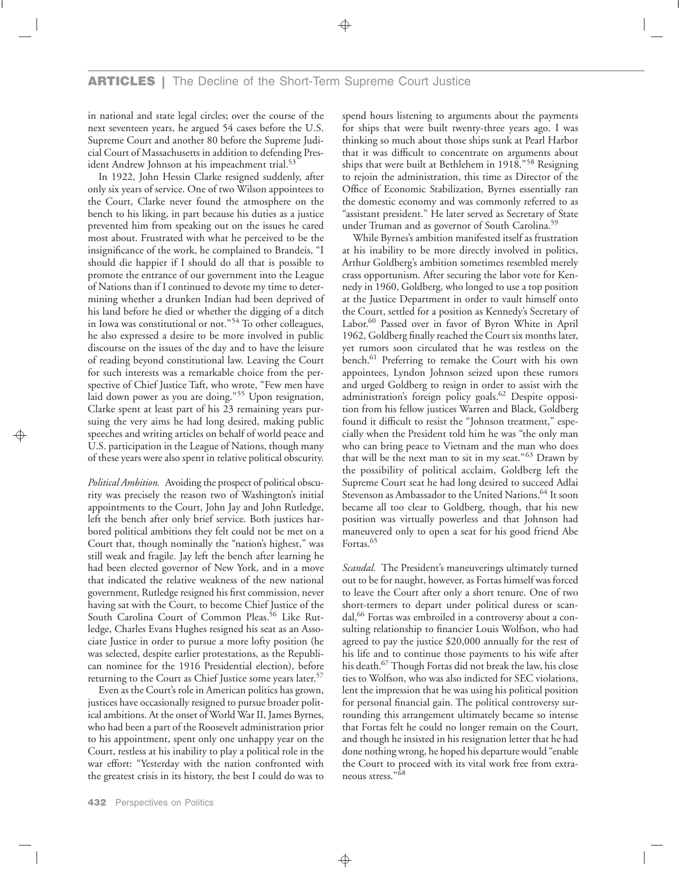in national and state legal circles; over the course of the next seventeen years, he argued 54 cases before the U.S. Supreme Court and another 80 before the Supreme Judicial Court of Massachusetts in addition to defending President Andrew Johnson at his impeachment trial.<sup>53</sup>

In 1922, John Hessin Clarke resigned suddenly, after only six years of service. One of two Wilson appointees to the Court, Clarke never found the atmosphere on the bench to his liking, in part because his duties as a justice prevented him from speaking out on the issues he cared most about. Frustrated with what he perceived to be the insignificance of the work, he complained to Brandeis, "I should die happier if I should do all that is possible to promote the entrance of our government into the League of Nations than if I continued to devote my time to determining whether a drunken Indian had been deprived of his land before he died or whether the digging of a ditch in Iowa was constitutional or not."<sup>54</sup> To other colleagues, he also expressed a desire to be more involved in public discourse on the issues of the day and to have the leisure of reading beyond constitutional law. Leaving the Court for such interests was a remarkable choice from the perspective of Chief Justice Taft, who wrote, "Few men have laid down power as you are doing."<sup>55</sup> Upon resignation, Clarke spent at least part of his 23 remaining years pursuing the very aims he had long desired, making public speeches and writing articles on behalf of world peace and U.S. participation in the League of Nations, though many of these years were also spent in relative political obscurity.

*Political Ambition.* Avoiding the prospect of political obscurity was precisely the reason two of Washington's initial appointments to the Court, John Jay and John Rutledge, left the bench after only brief service. Both justices harbored political ambitions they felt could not be met on a Court that, though nominally the "nation's highest," was still weak and fragile. Jay left the bench after learning he had been elected governor of New York, and in a move that indicated the relative weakness of the new national government, Rutledge resigned his first commission, never having sat with the Court, to become Chief Justice of the South Carolina Court of Common Pleas.<sup>56</sup> Like Rutledge, Charles Evans Hughes resigned his seat as an Associate Justice in order to pursue a more lofty position (he was selected, despite earlier protestations, as the Republican nominee for the 1916 Presidential election), before returning to the Court as Chief Justice some years later.<sup>57</sup>

Even as the Court's role in American politics has grown, justices have occasionally resigned to pursue broader political ambitions. At the onset of World War II, James Byrnes, who had been a part of the Roosevelt administration prior to his appointment, spent only one unhappy year on the Court, restless at his inability to play a political role in the war effort: "Yesterday with the nation confronted with the greatest crisis in its history, the best I could do was to spend hours listening to arguments about the payments for ships that were built twenty-three years ago. I was thinking so much about those ships sunk at Pearl Harbor that it was difficult to concentrate on arguments about ships that were built at Bethlehem in 1918."<sup>58</sup> Resigning to rejoin the administration, this time as Director of the Office of Economic Stabilization, Byrnes essentially ran the domestic economy and was commonly referred to as "assistant president." He later served as Secretary of State under Truman and as governor of South Carolina.<sup>59</sup>

While Byrnes's ambition manifested itself as frustration at his inability to be more directly involved in politics, Arthur Goldberg's ambition sometimes resembled merely crass opportunism. After securing the labor vote for Kennedy in 1960, Goldberg, who longed to use a top position at the Justice Department in order to vault himself onto the Court, settled for a position as Kennedy's Secretary of Labor.60 Passed over in favor of Byron White in April 1962, Goldberg finally reached the Court six months later, yet rumors soon circulated that he was restless on the bench.<sup>61</sup> Preferring to remake the Court with his own appointees, Lyndon Johnson seized upon these rumors and urged Goldberg to resign in order to assist with the administration's foreign policy goals.<sup>62</sup> Despite opposition from his fellow justices Warren and Black, Goldberg found it difficult to resist the "Johnson treatment," especially when the President told him he was "the only man who can bring peace to Vietnam and the man who does that will be the next man to sit in my seat."<sup>63</sup> Drawn by the possibility of political acclaim, Goldberg left the Supreme Court seat he had long desired to succeed Adlai Stevenson as Ambassador to the United Nations.<sup>64</sup> It soon became all too clear to Goldberg, though, that his new position was virtually powerless and that Johnson had maneuvered only to open a seat for his good friend Abe Fortas.<sup>65</sup>

*Scandal.* The President's maneuverings ultimately turned out to be for naught, however, as Fortas himself was forced to leave the Court after only a short tenure. One of two short-termers to depart under political duress or scandal,<sup>66</sup> Fortas was embroiled in a controversy about a consulting relationship to financier Louis Wolfson, who had agreed to pay the justice \$20,000 annually for the rest of his life and to continue those payments to his wife after his death.67 Though Fortas did not break the law, his close ties to Wolfson, who was also indicted for SEC violations, lent the impression that he was using his political position for personal financial gain. The political controversy surrounding this arrangement ultimately became so intense that Fortas felt he could no longer remain on the Court, and though he insisted in his resignation letter that he had done nothing wrong, he hoped his departure would "enable the Court to proceed with its vital work free from extraneous stress."<sup>68</sup>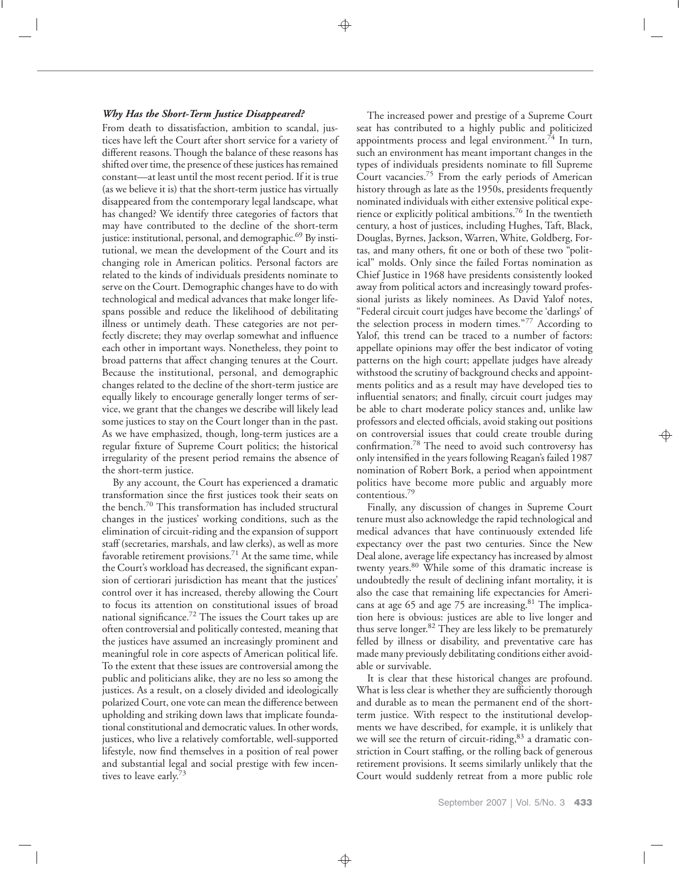#### *Why Has the Short-Term Justice Disappeared?*

From death to dissatisfaction, ambition to scandal, justices have left the Court after short service for a variety of different reasons. Though the balance of these reasons has shifted over time, the presence of these justices has remained constant—at least until the most recent period. If it is true (as we believe it is) that the short-term justice has virtually disappeared from the contemporary legal landscape, what has changed? We identify three categories of factors that may have contributed to the decline of the short-term justice: institutional, personal, and demographic.<sup>69</sup> By institutional, we mean the development of the Court and its changing role in American politics. Personal factors are related to the kinds of individuals presidents nominate to serve on the Court. Demographic changes have to do with technological and medical advances that make longer lifespans possible and reduce the likelihood of debilitating illness or untimely death. These categories are not perfectly discrete; they may overlap somewhat and influence each other in important ways. Nonetheless, they point to broad patterns that affect changing tenures at the Court. Because the institutional, personal, and demographic changes related to the decline of the short-term justice are equally likely to encourage generally longer terms of service, we grant that the changes we describe will likely lead some justices to stay on the Court longer than in the past. As we have emphasized, though, long-term justices are a regular fixture of Supreme Court politics; the historical irregularity of the present period remains the absence of the short-term justice.

By any account, the Court has experienced a dramatic transformation since the first justices took their seats on the bench.<sup>70</sup> This transformation has included structural changes in the justices' working conditions, such as the elimination of circuit-riding and the expansion of support staff (secretaries, marshals, and law clerks), as well as more favorable retirement provisions.<sup>71</sup> At the same time, while the Court's workload has decreased, the significant expansion of certiorari jurisdiction has meant that the justices' control over it has increased, thereby allowing the Court to focus its attention on constitutional issues of broad national significance.<sup>72</sup> The issues the Court takes up are often controversial and politically contested, meaning that the justices have assumed an increasingly prominent and meaningful role in core aspects of American political life. To the extent that these issues are controversial among the public and politicians alike, they are no less so among the justices. As a result, on a closely divided and ideologically polarized Court, one vote can mean the difference between upholding and striking down laws that implicate foundational constitutional and democratic values. In other words, justices, who live a relatively comfortable, well-supported lifestyle, now find themselves in a position of real power and substantial legal and social prestige with few incentives to leave early.<sup>73</sup>

The increased power and prestige of a Supreme Court seat has contributed to a highly public and politicized appointments process and legal environment.<sup>74</sup> In turn, such an environment has meant important changes in the types of individuals presidents nominate to fill Supreme Court vacancies.75 From the early periods of American history through as late as the 1950s, presidents frequently nominated individuals with either extensive political experience or explicitly political ambitions.76 In the twentieth century, a host of justices, including Hughes, Taft, Black, Douglas, Byrnes, Jackson, Warren, White, Goldberg, Fortas, and many others, fit one or both of these two "political" molds. Only since the failed Fortas nomination as Chief Justice in 1968 have presidents consistently looked away from political actors and increasingly toward professional jurists as likely nominees. As David Yalof notes, "Federal circuit court judges have become the 'darlings' of the selection process in modern times."<sup>77</sup> According to Yalof, this trend can be traced to a number of factors: appellate opinions may offer the best indicator of voting patterns on the high court; appellate judges have already withstood the scrutiny of background checks and appointments politics and as a result may have developed ties to influential senators; and finally, circuit court judges may be able to chart moderate policy stances and, unlike law professors and elected officials, avoid staking out positions on controversial issues that could create trouble during confirmation.78 The need to avoid such controversy has only intensified in the years following Reagan's failed 1987 nomination of Robert Bork, a period when appointment politics have become more public and arguably more contentious.79

Finally, any discussion of changes in Supreme Court tenure must also acknowledge the rapid technological and medical advances that have continuously extended life expectancy over the past two centuries. Since the New Deal alone, average life expectancy has increased by almost twenty years.<sup>80</sup> While some of this dramatic increase is undoubtedly the result of declining infant mortality, it is also the case that remaining life expectancies for Americans at age 65 and age 75 are increasing. $81$  The implication here is obvious: justices are able to live longer and thus serve longer.82 They are less likely to be prematurely felled by illness or disability, and preventative care has made many previously debilitating conditions either avoidable or survivable.

It is clear that these historical changes are profound. What is less clear is whether they are sufficiently thorough and durable as to mean the permanent end of the shortterm justice. With respect to the institutional developments we have described, for example, it is unlikely that we will see the return of circuit-riding, $83$  a dramatic constriction in Court staffing, or the rolling back of generous retirement provisions. It seems similarly unlikely that the Court would suddenly retreat from a more public role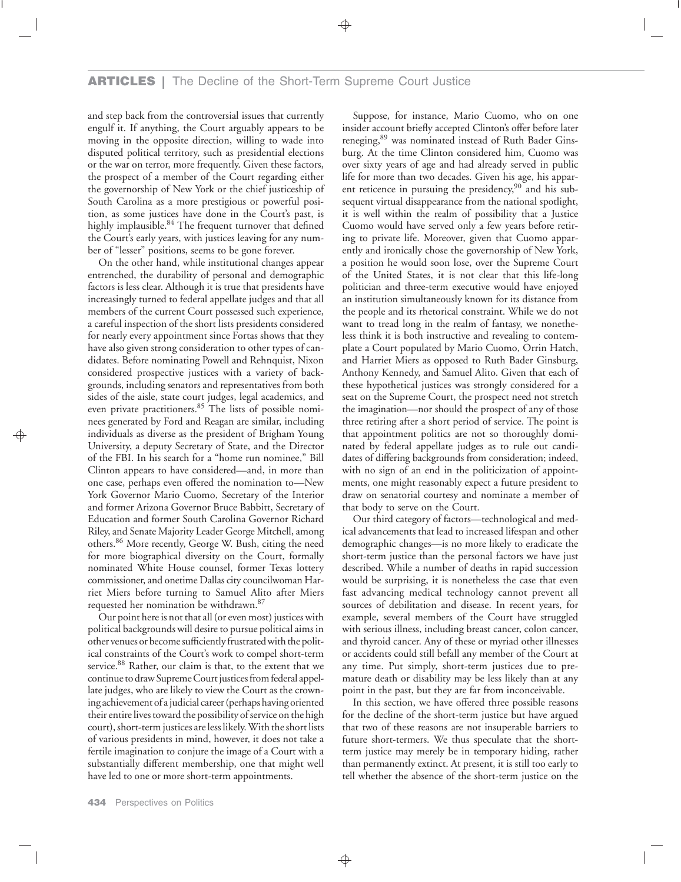## **ARTICLES |** The Decline of the Short-Term Supreme Court Justice

and step back from the controversial issues that currently engulf it. If anything, the Court arguably appears to be moving in the opposite direction, willing to wade into disputed political territory, such as presidential elections or the war on terror, more frequently. Given these factors, the prospect of a member of the Court regarding either the governorship of New York or the chief justiceship of South Carolina as a more prestigious or powerful position, as some justices have done in the Court's past, is highly implausible.<sup>84</sup> The frequent turnover that defined the Court's early years, with justices leaving for any number of "lesser" positions, seems to be gone forever.

On the other hand, while institutional changes appear entrenched, the durability of personal and demographic factors is less clear. Although it is true that presidents have increasingly turned to federal appellate judges and that all members of the current Court possessed such experience, a careful inspection of the short lists presidents considered for nearly every appointment since Fortas shows that they have also given strong consideration to other types of candidates. Before nominating Powell and Rehnquist, Nixon considered prospective justices with a variety of backgrounds, including senators and representatives from both sides of the aisle, state court judges, legal academics, and even private practitioners.<sup>85</sup> The lists of possible nominees generated by Ford and Reagan are similar, including individuals as diverse as the president of Brigham Young University, a deputy Secretary of State, and the Director of the FBI. In his search for a "home run nominee," Bill Clinton appears to have considered—and, in more than one case, perhaps even offered the nomination to—New York Governor Mario Cuomo, Secretary of the Interior and former Arizona Governor Bruce Babbitt, Secretary of Education and former South Carolina Governor Richard Riley, and Senate Majority Leader George Mitchell, among others.86 More recently, George W. Bush, citing the need for more biographical diversity on the Court, formally nominated White House counsel, former Texas lottery commissioner, and onetime Dallas city councilwoman Harriet Miers before turning to Samuel Alito after Miers requested her nomination be withdrawn.87

Our point here is not that all (or even most) justices with political backgrounds will desire to pursue political aims in other venues or become sufficiently frustrated with the political constraints of the Court's work to compel short-term service.<sup>88</sup> Rather, our claim is that, to the extent that we continue to draw Supreme Court justices from federal appellate judges, who are likely to view the Court as the crowning achievement of a judicial career (perhaps having oriented their entire lives toward the possibility of service on the high court), short-term justices are less likely.With the short lists of various presidents in mind, however, it does not take a fertile imagination to conjure the image of a Court with a substantially different membership, one that might well have led to one or more short-term appointments.

Suppose, for instance, Mario Cuomo, who on one insider account briefly accepted Clinton's offer before later reneging,89 was nominated instead of Ruth Bader Ginsburg. At the time Clinton considered him, Cuomo was over sixty years of age and had already served in public life for more than two decades. Given his age, his apparent reticence in pursuing the presidency, $90$  and his subsequent virtual disappearance from the national spotlight, it is well within the realm of possibility that a Justice Cuomo would have served only a few years before retiring to private life. Moreover, given that Cuomo apparently and ironically chose the governorship of New York, a position he would soon lose, over the Supreme Court of the United States, it is not clear that this life-long politician and three-term executive would have enjoyed an institution simultaneously known for its distance from the people and its rhetorical constraint. While we do not want to tread long in the realm of fantasy, we nonetheless think it is both instructive and revealing to contemplate a Court populated by Mario Cuomo, Orrin Hatch, and Harriet Miers as opposed to Ruth Bader Ginsburg, Anthony Kennedy, and Samuel Alito. Given that each of these hypothetical justices was strongly considered for a seat on the Supreme Court, the prospect need not stretch the imagination—nor should the prospect of any of those three retiring after a short period of service. The point is that appointment politics are not so thoroughly dominated by federal appellate judges as to rule out candidates of differing backgrounds from consideration; indeed, with no sign of an end in the politicization of appointments, one might reasonably expect a future president to draw on senatorial courtesy and nominate a member of that body to serve on the Court.

Our third category of factors—technological and medical advancements that lead to increased lifespan and other demographic changes—is no more likely to eradicate the short-term justice than the personal factors we have just described. While a number of deaths in rapid succession would be surprising, it is nonetheless the case that even fast advancing medical technology cannot prevent all sources of debilitation and disease. In recent years, for example, several members of the Court have struggled with serious illness, including breast cancer, colon cancer, and thyroid cancer. Any of these or myriad other illnesses or accidents could still befall any member of the Court at any time. Put simply, short-term justices due to premature death or disability may be less likely than at any point in the past, but they are far from inconceivable.

In this section, we have offered three possible reasons for the decline of the short-term justice but have argued that two of these reasons are not insuperable barriers to future short-termers. We thus speculate that the shortterm justice may merely be in temporary hiding, rather than permanently extinct. At present, it is still too early to tell whether the absence of the short-term justice on the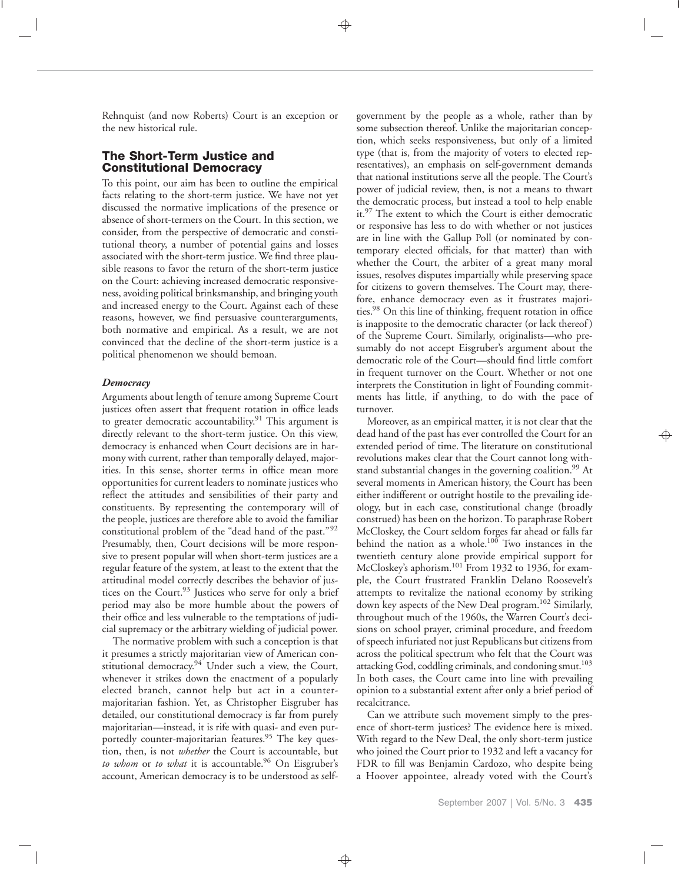Rehnquist (and now Roberts) Court is an exception or the new historical rule.

## **The Short-Term Justice and Constitutional Democracy**

To this point, our aim has been to outline the empirical facts relating to the short-term justice. We have not yet discussed the normative implications of the presence or absence of short-termers on the Court. In this section, we consider, from the perspective of democratic and constitutional theory, a number of potential gains and losses associated with the short-term justice. We find three plausible reasons to favor the return of the short-term justice on the Court: achieving increased democratic responsiveness, avoiding political brinksmanship, and bringing youth and increased energy to the Court. Against each of these reasons, however, we find persuasive counterarguments, both normative and empirical. As a result, we are not convinced that the decline of the short-term justice is a political phenomenon we should bemoan.

#### *Democracy*

Arguments about length of tenure among Supreme Court justices often assert that frequent rotation in office leads to greater democratic accountability.<sup>91</sup> This argument is directly relevant to the short-term justice. On this view, democracy is enhanced when Court decisions are in harmony with current, rather than temporally delayed, majorities. In this sense, shorter terms in office mean more opportunities for current leaders to nominate justices who reflect the attitudes and sensibilities of their party and constituents. By representing the contemporary will of the people, justices are therefore able to avoid the familiar constitutional problem of the "dead hand of the past."<sup>92</sup> Presumably, then, Court decisions will be more responsive to present popular will when short-term justices are a regular feature of the system, at least to the extent that the attitudinal model correctly describes the behavior of justices on the Court.<sup>93</sup> Justices who serve for only a brief period may also be more humble about the powers of their office and less vulnerable to the temptations of judicial supremacy or the arbitrary wielding of judicial power.

The normative problem with such a conception is that it presumes a strictly majoritarian view of American constitutional democracy.<sup>94</sup> Under such a view, the Court, whenever it strikes down the enactment of a popularly elected branch, cannot help but act in a countermajoritarian fashion. Yet, as Christopher Eisgruber has detailed, our constitutional democracy is far from purely majoritarian—instead, it is rife with quasi- and even purportedly counter-majoritarian features.<sup>95</sup> The key question, then, is not *whether* the Court is accountable, but *to whom* or *to what* it is accountable.<sup>96</sup> On Eisgruber's account, American democracy is to be understood as selfgovernment by the people as a whole, rather than by some subsection thereof. Unlike the majoritarian conception, which seeks responsiveness, but only of a limited type (that is, from the majority of voters to elected representatives), an emphasis on self-government demands that national institutions serve all the people. The Court's power of judicial review, then, is not a means to thwart the democratic process, but instead a tool to help enable it.<sup>97</sup> The extent to which the Court is either democratic or responsive has less to do with whether or not justices are in line with the Gallup Poll (or nominated by contemporary elected officials, for that matter) than with whether the Court, the arbiter of a great many moral issues, resolves disputes impartially while preserving space for citizens to govern themselves. The Court may, therefore, enhance democracy even as it frustrates majorities.98 On this line of thinking, frequent rotation in office is inapposite to the democratic character (or lack thereof ) of the Supreme Court. Similarly, originalists—who presumably do not accept Eisgruber's argument about the democratic role of the Court—should find little comfort in frequent turnover on the Court. Whether or not one interprets the Constitution in light of Founding commitments has little, if anything, to do with the pace of turnover.

Moreover, as an empirical matter, it is not clear that the dead hand of the past has ever controlled the Court for an extended period of time. The literature on constitutional revolutions makes clear that the Court cannot long withstand substantial changes in the governing coalition.<sup>99</sup> At several moments in American history, the Court has been either indifferent or outright hostile to the prevailing ideology, but in each case, constitutional change (broadly construed) has been on the horizon. To paraphrase Robert McCloskey, the Court seldom forges far ahead or falls far behind the nation as a whole.<sup>100</sup> Two instances in the twentieth century alone provide empirical support for McCloskey's aphorism.<sup>101</sup> From 1932 to 1936, for example, the Court frustrated Franklin Delano Roosevelt's attempts to revitalize the national economy by striking down key aspects of the New Deal program.<sup>102</sup> Similarly, throughout much of the 1960s, the Warren Court's decisions on school prayer, criminal procedure, and freedom of speech infuriated not just Republicans but citizens from across the political spectrum who felt that the Court was attacking God, coddling criminals, and condoning smut.<sup>103</sup> In both cases, the Court came into line with prevailing opinion to a substantial extent after only a brief period of recalcitrance.

Can we attribute such movement simply to the presence of short-term justices? The evidence here is mixed. With regard to the New Deal, the only short-term justice who joined the Court prior to 1932 and left a vacancy for FDR to fill was Benjamin Cardozo, who despite being a Hoover appointee, already voted with the Court's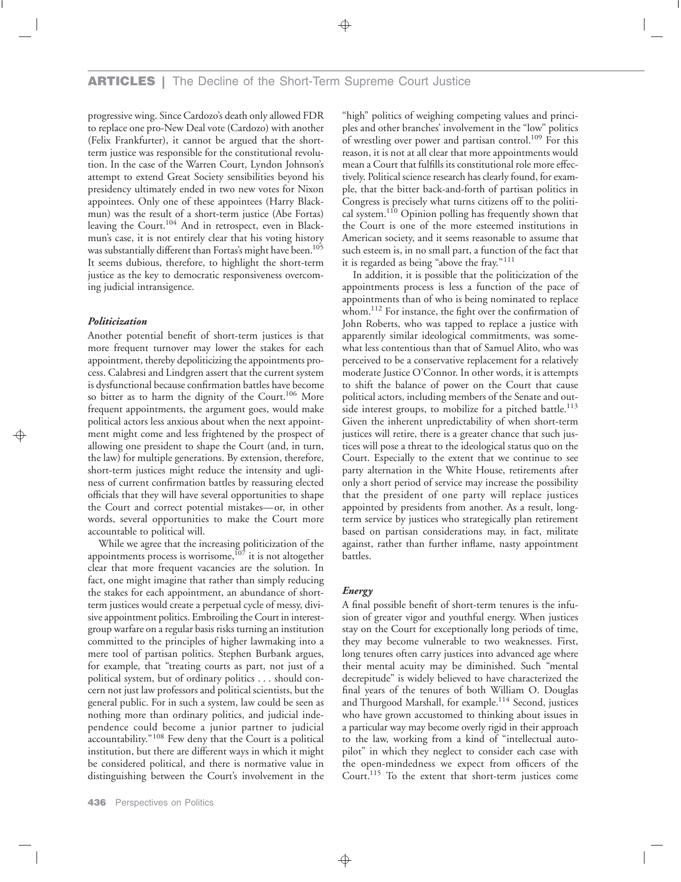progressive wing. Since Cardozo's death only allowed FDR to replace one pro-New Deal vote (Cardozo) with another (Felix Frankfurter), it cannot be argued that the shortterm justice was responsible for the constitutional revolution. In the case of the Warren Court, Lyndon Johnson's attempt to extend Great Society sensibilities beyond his presidency ultimately ended in two new votes for Nixon appointees. Only one of these appointees (Harry Blackmun) was the result of a short-term justice (Abe Fortas) leaving the Court.<sup>104</sup> And in retrospect, even in Blackmun's case, it is not entirely clear that his voting history was substantially different than Fortas's might have been.<sup>105</sup> It seems dubious, therefore, to highlight the short-term justice as the key to democratic responsiveness overcoming judicial intransigence.

#### *Politicization*

Another potential benefit of short-term justices is that more frequent turnover may lower the stakes for each appointment, thereby depoliticizing the appointments process. Calabresi and Lindgren assert that the current system is dysfunctional because confirmation battles have become so bitter as to harm the dignity of the Court.<sup>106</sup> More frequent appointments, the argument goes, would make political actors less anxious about when the next appointment might come and less frightened by the prospect of allowing one president to shape the Court (and, in turn, the law) for multiple generations. By extension, therefore, short-term justices might reduce the intensity and ugliness of current confirmation battles by reassuring elected officials that they will have several opportunities to shape the Court and correct potential mistakes—or, in other words, several opportunities to make the Court more accountable to political will.

While we agree that the increasing politicization of the appointments process is worrisome,<sup>107</sup> it is not altogether clear that more frequent vacancies are the solution. In fact, one might imagine that rather than simply reducing the stakes for each appointment, an abundance of shortterm justices would create a perpetual cycle of messy, divisive appointment politics. Embroiling the Court in interestgroup warfare on a regular basis risks turning an institution committed to the principles of higher lawmaking into a mere tool of partisan politics. Stephen Burbank argues, for example, that "treating courts as part, not just of a political system, but of ordinary politics . . . should concern not just law professors and political scientists, but the general public. For in such a system, law could be seen as nothing more than ordinary politics, and judicial independence could become a junior partner to judicial accountability."<sup>108</sup> Few deny that the Court is a political institution, but there are different ways in which it might be considered political, and there is normative value in distinguishing between the Court's involvement in the

"high" politics of weighing competing values and principles and other branches' involvement in the "low" politics of wrestling over power and partisan control.<sup>109</sup> For this reason, it is not at all clear that more appointments would mean a Court that fulfills its constitutional role more effectively. Political science research has clearly found, for example, that the bitter back-and-forth of partisan politics in Congress is precisely what turns citizens off to the political system.<sup>110</sup> Opinion polling has frequently shown that the Court is one of the more esteemed institutions in American society, and it seems reasonable to assume that such esteem is, in no small part, a function of the fact that it is regarded as being "above the fray."<sup>111</sup>

In addition, it is possible that the politicization of the appointments process is less a function of the pace of appointments than of who is being nominated to replace whom.<sup>112</sup> For instance, the fight over the confirmation of John Roberts, who was tapped to replace a justice with apparently similar ideological commitments, was somewhat less contentious than that of Samuel Alito, who was perceived to be a conservative replacement for a relatively moderate Justice O'Connor. In other words, it is attempts to shift the balance of power on the Court that cause political actors, including members of the Senate and outside interest groups, to mobilize for a pitched battle.<sup>113</sup> Given the inherent unpredictability of when short-term justices will retire, there is a greater chance that such justices will pose a threat to the ideological status quo on the Court. Especially to the extent that we continue to see party alternation in the White House, retirements after only a short period of service may increase the possibility that the president of one party will replace justices appointed by presidents from another. As a result, longterm service by justices who strategically plan retirement based on partisan considerations may, in fact, militate against, rather than further inflame, nasty appointment battles.

#### *Energy*

A final possible benefit of short-term tenures is the infusion of greater vigor and youthful energy. When justices stay on the Court for exceptionally long periods of time, they may become vulnerable to two weaknesses. First, long tenures often carry justices into advanced age where their mental acuity may be diminished. Such "mental decrepitude" is widely believed to have characterized the final years of the tenures of both William O. Douglas and Thurgood Marshall, for example.<sup>114</sup> Second, justices who have grown accustomed to thinking about issues in a particular way may become overly rigid in their approach to the law, working from a kind of "intellectual autopilot" in which they neglect to consider each case with the open-mindedness we expect from officers of the Court.115 To the extent that short-term justices come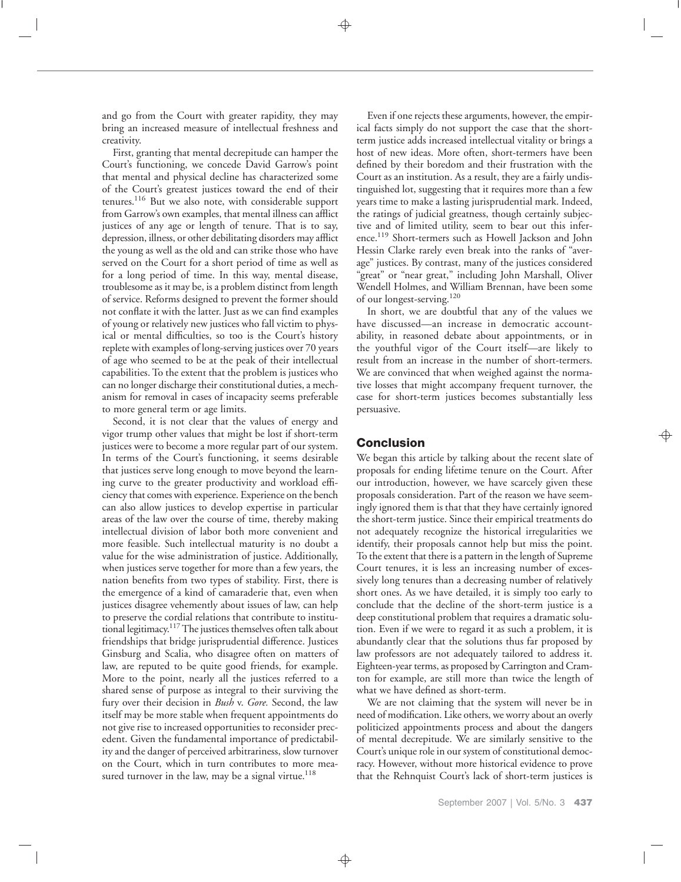and go from the Court with greater rapidity, they may bring an increased measure of intellectual freshness and creativity.

First, granting that mental decrepitude can hamper the Court's functioning, we concede David Garrow's point that mental and physical decline has characterized some of the Court's greatest justices toward the end of their tenures.<sup>116</sup> But we also note, with considerable support from Garrow's own examples, that mental illness can afflict justices of any age or length of tenure. That is to say, depression, illness, or other debilitating disorders may afflict the young as well as the old and can strike those who have served on the Court for a short period of time as well as for a long period of time. In this way, mental disease, troublesome as it may be, is a problem distinct from length of service. Reforms designed to prevent the former should not conflate it with the latter. Just as we can find examples of young or relatively new justices who fall victim to physical or mental difficulties, so too is the Court's history replete with examples of long-serving justices over 70 years of age who seemed to be at the peak of their intellectual capabilities. To the extent that the problem is justices who can no longer discharge their constitutional duties, a mechanism for removal in cases of incapacity seems preferable to more general term or age limits.

Second, it is not clear that the values of energy and vigor trump other values that might be lost if short-term justices were to become a more regular part of our system. In terms of the Court's functioning, it seems desirable that justices serve long enough to move beyond the learning curve to the greater productivity and workload efficiency that comes with experience. Experience on the bench can also allow justices to develop expertise in particular areas of the law over the course of time, thereby making intellectual division of labor both more convenient and more feasible. Such intellectual maturity is no doubt a value for the wise administration of justice. Additionally, when justices serve together for more than a few years, the nation benefits from two types of stability. First, there is the emergence of a kind of camaraderie that, even when justices disagree vehemently about issues of law, can help to preserve the cordial relations that contribute to institutional legitimacy. $117$ The justices themselves often talk about friendships that bridge jurisprudential difference. Justices Ginsburg and Scalia, who disagree often on matters of law, are reputed to be quite good friends, for example. More to the point, nearly all the justices referred to a shared sense of purpose as integral to their surviving the fury over their decision in *Bush* v. *Gore.* Second, the law itself may be more stable when frequent appointments do not give rise to increased opportunities to reconsider precedent. Given the fundamental importance of predictability and the danger of perceived arbitrariness, slow turnover on the Court, which in turn contributes to more measured turnover in the law, may be a signal virtue. $118$ 

Even if one rejects these arguments, however, the empirical facts simply do not support the case that the shortterm justice adds increased intellectual vitality or brings a host of new ideas. More often, short-termers have been defined by their boredom and their frustration with the Court as an institution. As a result, they are a fairly undistinguished lot, suggesting that it requires more than a few years time to make a lasting jurisprudential mark. Indeed, the ratings of judicial greatness, though certainly subjective and of limited utility, seem to bear out this inference.119 Short-termers such as Howell Jackson and John Hessin Clarke rarely even break into the ranks of "average" justices. By contrast, many of the justices considered "great" or "near great," including John Marshall, Oliver Wendell Holmes, and William Brennan, have been some of our longest-serving.120

In short, we are doubtful that any of the values we have discussed—an increase in democratic accountability, in reasoned debate about appointments, or in the youthful vigor of the Court itself—are likely to result from an increase in the number of short-termers. We are convinced that when weighed against the normative losses that might accompany frequent turnover, the case for short-term justices becomes substantially less persuasive.

## **Conclusion**

We began this article by talking about the recent slate of proposals for ending lifetime tenure on the Court. After our introduction, however, we have scarcely given these proposals consideration. Part of the reason we have seemingly ignored them is that that they have certainly ignored the short-term justice. Since their empirical treatments do not adequately recognize the historical irregularities we identify, their proposals cannot help but miss the point. To the extent that there is a pattern in the length of Supreme Court tenures, it is less an increasing number of excessively long tenures than a decreasing number of relatively short ones. As we have detailed, it is simply too early to conclude that the decline of the short-term justice is a deep constitutional problem that requires a dramatic solution. Even if we were to regard it as such a problem, it is abundantly clear that the solutions thus far proposed by law professors are not adequately tailored to address it. Eighteen-year terms, as proposed by Carrington and Cramton for example, are still more than twice the length of what we have defined as short-term.

We are not claiming that the system will never be in need of modification. Like others, we worry about an overly politicized appointments process and about the dangers of mental decrepitude. We are similarly sensitive to the Court's unique role in our system of constitutional democracy. However, without more historical evidence to prove that the Rehnquist Court's lack of short-term justices is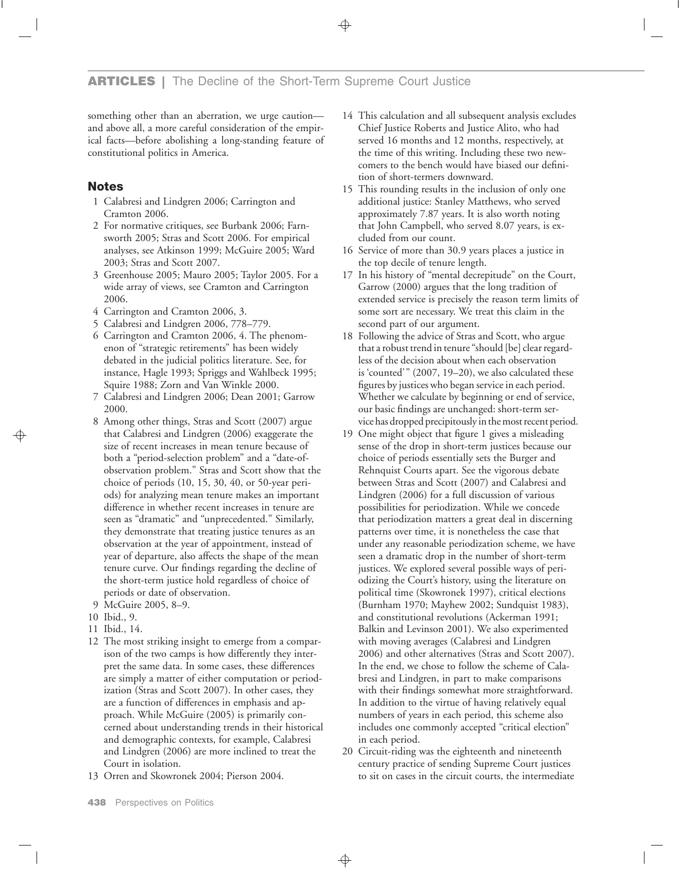something other than an aberration, we urge caution and above all, a more careful consideration of the empirical facts—before abolishing a long-standing feature of constitutional politics in America.

## **Notes**

- 1 Calabresi and Lindgren 2006; Carrington and Cramton 2006.
- 2 For normative critiques, see Burbank 2006; Farnsworth 2005; Stras and Scott 2006. For empirical analyses, see Atkinson 1999; McGuire 2005; Ward 2003; Stras and Scott 2007.
- 3 Greenhouse 2005; Mauro 2005; Taylor 2005. For a wide array of views, see Cramton and Carrington 2006.
- 4 Carrington and Cramton 2006, 3.
- 5 Calabresi and Lindgren 2006, 778–779.
- 6 Carrington and Cramton 2006, 4. The phenomenon of "strategic retirements" has been widely debated in the judicial politics literature. See, for instance, Hagle 1993; Spriggs and Wahlbeck 1995; Squire 1988; Zorn and Van Winkle 2000.
- 7 Calabresi and Lindgren 2006; Dean 2001; Garrow 2000.
- 8 Among other things, Stras and Scott (2007) argue that Calabresi and Lindgren (2006) exaggerate the size of recent increases in mean tenure because of both a "period-selection problem" and a "date-ofobservation problem." Stras and Scott show that the choice of periods (10, 15, 30, 40, or 50-year periods) for analyzing mean tenure makes an important difference in whether recent increases in tenure are seen as "dramatic" and "unprecedented." Similarly, they demonstrate that treating justice tenures as an observation at the year of appointment, instead of year of departure, also affects the shape of the mean tenure curve. Our findings regarding the decline of the short-term justice hold regardless of choice of periods or date of observation.
- 9 McGuire 2005, 8–9.
- 10 Ibid., 9.
- 11 Ibid., 14.
- 12 The most striking insight to emerge from a comparison of the two camps is how differently they interpret the same data. In some cases, these differences are simply a matter of either computation or periodization (Stras and Scott 2007). In other cases, they are a function of differences in emphasis and approach. While McGuire (2005) is primarily concerned about understanding trends in their historical and demographic contexts, for example, Calabresi and Lindgren (2006) are more inclined to treat the Court in isolation.
- 13 Orren and Skowronek 2004; Pierson 2004.
- 14 This calculation and all subsequent analysis excludes Chief Justice Roberts and Justice Alito, who had served 16 months and 12 months, respectively, at the time of this writing. Including these two newcomers to the bench would have biased our definition of short-termers downward.
- 15 This rounding results in the inclusion of only one additional justice: Stanley Matthews, who served approximately 7.87 years. It is also worth noting that John Campbell, who served 8.07 years, is excluded from our count.
- 16 Service of more than 30.9 years places a justice in the top decile of tenure length.
- 17 In his history of "mental decrepitude" on the Court, Garrow (2000) argues that the long tradition of extended service is precisely the reason term limits of some sort are necessary. We treat this claim in the second part of our argument.
- 18 Following the advice of Stras and Scott, who argue that a robust trend in tenure "should [be] clear regardless of the decision about when each observation is 'counted'" (2007, 19–20), we also calculated these figures by justices who began service in each period. Whether we calculate by beginning or end of service, our basic findings are unchanged: short-term service has dropped precipitously in themost recent period.
- 19 One might object that figure 1 gives a misleading sense of the drop in short-term justices because our choice of periods essentially sets the Burger and Rehnquist Courts apart. See the vigorous debate between Stras and Scott (2007) and Calabresi and Lindgren (2006) for a full discussion of various possibilities for periodization. While we concede that periodization matters a great deal in discerning patterns over time, it is nonetheless the case that under any reasonable periodization scheme, we have seen a dramatic drop in the number of short-term justices. We explored several possible ways of periodizing the Court's history, using the literature on political time (Skowronek 1997), critical elections (Burnham 1970; Mayhew 2002; Sundquist 1983), and constitutional revolutions (Ackerman 1991; Balkin and Levinson 2001). We also experimented with moving averages (Calabresi and Lindgren 2006) and other alternatives (Stras and Scott 2007). In the end, we chose to follow the scheme of Calabresi and Lindgren, in part to make comparisons with their findings somewhat more straightforward. In addition to the virtue of having relatively equal numbers of years in each period, this scheme also includes one commonly accepted "critical election" in each period.
- 20 Circuit-riding was the eighteenth and nineteenth century practice of sending Supreme Court justices to sit on cases in the circuit courts, the intermediate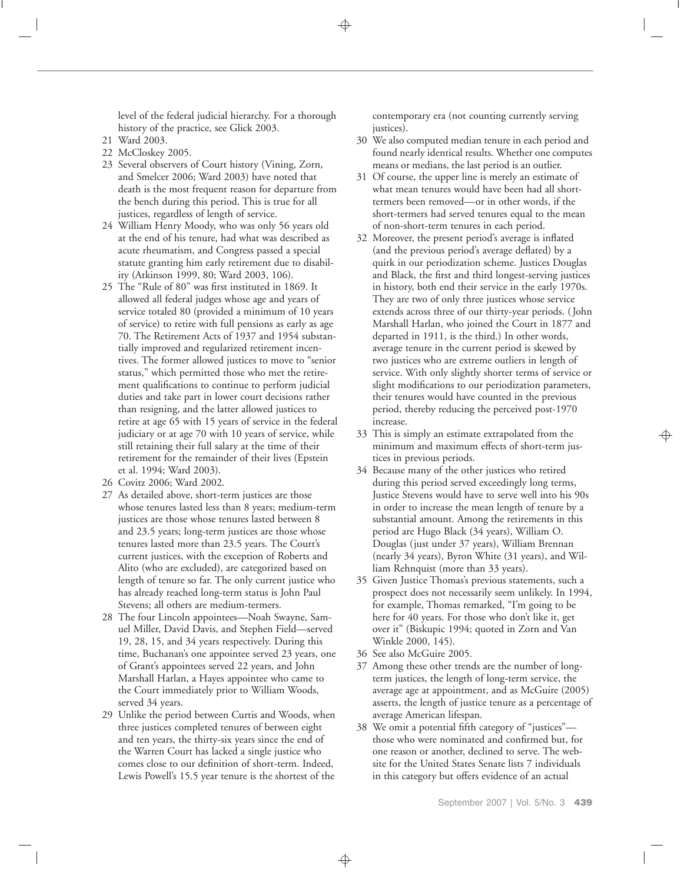level of the federal judicial hierarchy. For a thorough history of the practice, see Glick 2003.

- 21 Ward 2003.
- 22 McCloskey 2005.
- 23 Several observers of Court history (Vining, Zorn, and Smelcer 2006; Ward 2003) have noted that death is the most frequent reason for departure from the bench during this period. This is true for all justices, regardless of length of service.
- 24 William Henry Moody, who was only 56 years old at the end of his tenure, had what was described as acute rheumatism, and Congress passed a special statute granting him early retirement due to disability (Atkinson 1999, 80; Ward 2003, 106).
- 25 The "Rule of 80" was first instituted in 1869. It allowed all federal judges whose age and years of service totaled 80 (provided a minimum of 10 years of service) to retire with full pensions as early as age 70. The Retirement Acts of 1937 and 1954 substantially improved and regularized retirement incentives. The former allowed justices to move to "senior status," which permitted those who met the retirement qualifications to continue to perform judicial duties and take part in lower court decisions rather than resigning, and the latter allowed justices to retire at age 65 with 15 years of service in the federal judiciary or at age 70 with 10 years of service, while still retaining their full salary at the time of their retirement for the remainder of their lives (Epstein et al. 1994; Ward 2003).
- 26 Covitz 2006; Ward 2002.
- 27 As detailed above, short-term justices are those whose tenures lasted less than 8 years; medium-term justices are those whose tenures lasted between 8 and 23.5 years; long-term justices are those whose tenures lasted more than 23.5 years. The Court's current justices, with the exception of Roberts and Alito (who are excluded), are categorized based on length of tenure so far. The only current justice who has already reached long-term status is John Paul Stevens; all others are medium-termers.
- 28 The four Lincoln appointees—Noah Swayne, Samuel Miller, David Davis, and Stephen Field—served 19, 28, 15, and 34 years respectively. During this time, Buchanan's one appointee served 23 years, one of Grant's appointees served 22 years, and John Marshall Harlan, a Hayes appointee who came to the Court immediately prior to William Woods, served 34 years.
- 29 Unlike the period between Curtis and Woods, when three justices completed tenures of between eight and ten years, the thirty-six years since the end of the Warren Court has lacked a single justice who comes close to our definition of short-term. Indeed, Lewis Powell's 15.5 year tenure is the shortest of the

contemporary era (not counting currently serving justices).

- 30 We also computed median tenure in each period and found nearly identical results. Whether one computes means or medians, the last period is an outlier.
- 31 Of course, the upper line is merely an estimate of what mean tenures would have been had all shorttermers been removed—or in other words, if the short-termers had served tenures equal to the mean of non-short-term tenures in each period.
- 32 Moreover, the present period's average is inflated (and the previous period's average deflated) by a quirk in our periodization scheme. Justices Douglas and Black, the first and third longest-serving justices in history, both end their service in the early 1970s. They are two of only three justices whose service extends across three of our thirty-year periods. ( John Marshall Harlan, who joined the Court in 1877 and departed in 1911, is the third.) In other words, average tenure in the current period is skewed by two justices who are extreme outliers in length of service. With only slightly shorter terms of service or slight modifications to our periodization parameters, their tenures would have counted in the previous period, thereby reducing the perceived post-1970 increase.
- 33 This is simply an estimate extrapolated from the minimum and maximum effects of short-term justices in previous periods.
- 34 Because many of the other justices who retired during this period served exceedingly long terms, Justice Stevens would have to serve well into his 90s in order to increase the mean length of tenure by a substantial amount. Among the retirements in this period are Hugo Black (34 years), William O. Douglas (just under 37 years), William Brennan (nearly 34 years), Byron White (31 years), and William Rehnquist (more than 33 years).
- 35 Given Justice Thomas's previous statements, such a prospect does not necessarily seem unlikely. In 1994, for example, Thomas remarked, "I'm going to be here for 40 years. For those who don't like it, get over it" (Biskupic 1994; quoted in Zorn and Van Winkle 2000, 145).
- 36 See also McGuire 2005.
- 37 Among these other trends are the number of longterm justices, the length of long-term service, the average age at appointment, and as McGuire (2005) asserts, the length of justice tenure as a percentage of average American lifespan.
- 38 We omit a potential fifth category of "justices" those who were nominated and confirmed but, for one reason or another, declined to serve. The website for the United States Senate lists 7 individuals in this category but offers evidence of an actual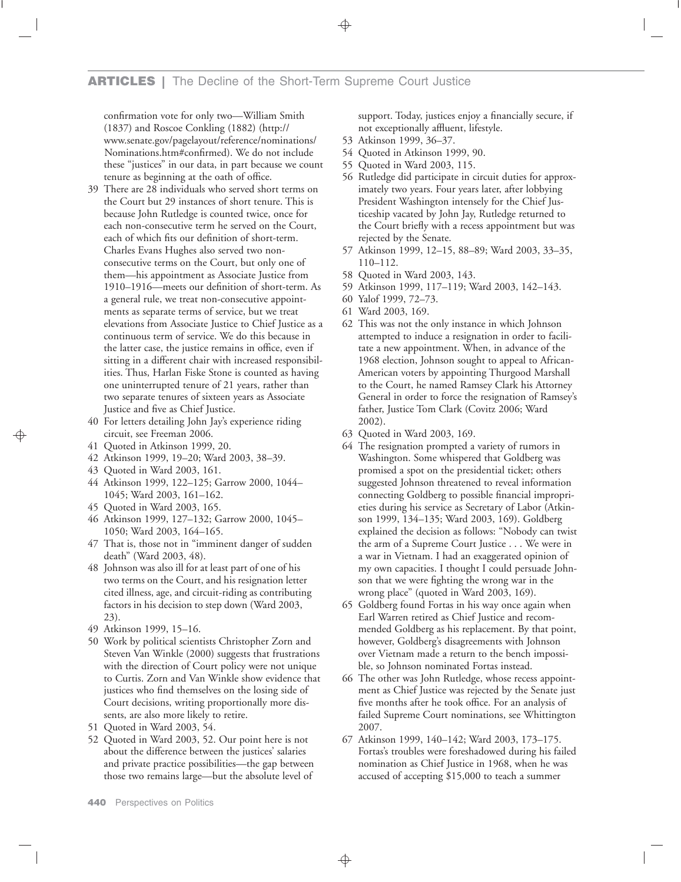confirmation vote for only two—William Smith (1837) and Roscoe Conkling (1882) (http:// www.senate.gov/pagelayout/reference/nominations/ Nominations.htm#confirmed). We do not include these "justices" in our data, in part because we count tenure as beginning at the oath of office.

- 39 There are 28 individuals who served short terms on the Court but 29 instances of short tenure. This is because John Rutledge is counted twice, once for each non-consecutive term he served on the Court, each of which fits our definition of short-term. Charles Evans Hughes also served two nonconsecutive terms on the Court, but only one of them—his appointment as Associate Justice from 1910–1916—meets our definition of short-term. As a general rule, we treat non-consecutive appointments as separate terms of service, but we treat elevations from Associate Justice to Chief Justice as a continuous term of service. We do this because in the latter case, the justice remains in office, even if sitting in a different chair with increased responsibilities. Thus, Harlan Fiske Stone is counted as having one uninterrupted tenure of 21 years, rather than two separate tenures of sixteen years as Associate Justice and five as Chief Justice.
- 40 For letters detailing John Jay's experience riding circuit, see Freeman 2006.
- 41 Quoted in Atkinson 1999, 20.
- 42 Atkinson 1999, 19–20; Ward 2003, 38–39.
- 43 Quoted in Ward 2003, 161.
- 44 Atkinson 1999, 122–125; Garrow 2000, 1044– 1045; Ward 2003, 161–162.
- 45 Quoted in Ward 2003, 165.
- 46 Atkinson 1999, 127–132; Garrow 2000, 1045– 1050; Ward 2003, 164–165.
- 47 That is, those not in "imminent danger of sudden death" (Ward 2003, 48).
- 48 Johnson was also ill for at least part of one of his two terms on the Court, and his resignation letter cited illness, age, and circuit-riding as contributing factors in his decision to step down (Ward 2003, 23).
- 49 Atkinson 1999, 15–16.
- 50 Work by political scientists Christopher Zorn and Steven Van Winkle (2000) suggests that frustrations with the direction of Court policy were not unique to Curtis. Zorn and Van Winkle show evidence that justices who find themselves on the losing side of Court decisions, writing proportionally more dissents, are also more likely to retire.
- 51 Quoted in Ward 2003, 54.
- 52 Quoted in Ward 2003, 52. Our point here is not about the difference between the justices' salaries and private practice possibilities—the gap between those two remains large—but the absolute level of

support. Today, justices enjoy a financially secure, if not exceptionally affluent, lifestyle.

- 53 Atkinson 1999, 36–37.
- 54 Quoted in Atkinson 1999, 90.
- 55 Quoted in Ward 2003, 115.
- 56 Rutledge did participate in circuit duties for approximately two years. Four years later, after lobbying President Washington intensely for the Chief Justiceship vacated by John Jay, Rutledge returned to the Court briefly with a recess appointment but was rejected by the Senate.
- 57 Atkinson 1999, 12–15, 88–89; Ward 2003, 33–35, 110–112.
- 58 Quoted in Ward 2003, 143.
- 59 Atkinson 1999, 117–119; Ward 2003, 142–143.
- 60 Yalof 1999, 72–73.
- 61 Ward 2003, 169.
- 62 This was not the only instance in which Johnson attempted to induce a resignation in order to facilitate a new appointment. When, in advance of the 1968 election, Johnson sought to appeal to African-American voters by appointing Thurgood Marshall to the Court, he named Ramsey Clark his Attorney General in order to force the resignation of Ramsey's father, Justice Tom Clark (Covitz 2006; Ward 2002).
- 63 Quoted in Ward 2003, 169.
- 64 The resignation prompted a variety of rumors in Washington. Some whispered that Goldberg was promised a spot on the presidential ticket; others suggested Johnson threatened to reveal information connecting Goldberg to possible financial improprieties during his service as Secretary of Labor (Atkinson 1999, 134–135; Ward 2003, 169). Goldberg explained the decision as follows: "Nobody can twist the arm of a Supreme Court Justice . . . We were in a war in Vietnam. I had an exaggerated opinion of my own capacities. I thought I could persuade Johnson that we were fighting the wrong war in the wrong place" (quoted in Ward 2003, 169).
- 65 Goldberg found Fortas in his way once again when Earl Warren retired as Chief Justice and recommended Goldberg as his replacement. By that point, however, Goldberg's disagreements with Johnson over Vietnam made a return to the bench impossible, so Johnson nominated Fortas instead.
- 66 The other was John Rutledge, whose recess appointment as Chief Justice was rejected by the Senate just five months after he took office. For an analysis of failed Supreme Court nominations, see Whittington 2007.
- 67 Atkinson 1999, 140–142; Ward 2003, 173–175. Fortas's troubles were foreshadowed during his failed nomination as Chief Justice in 1968, when he was accused of accepting \$15,000 to teach a summer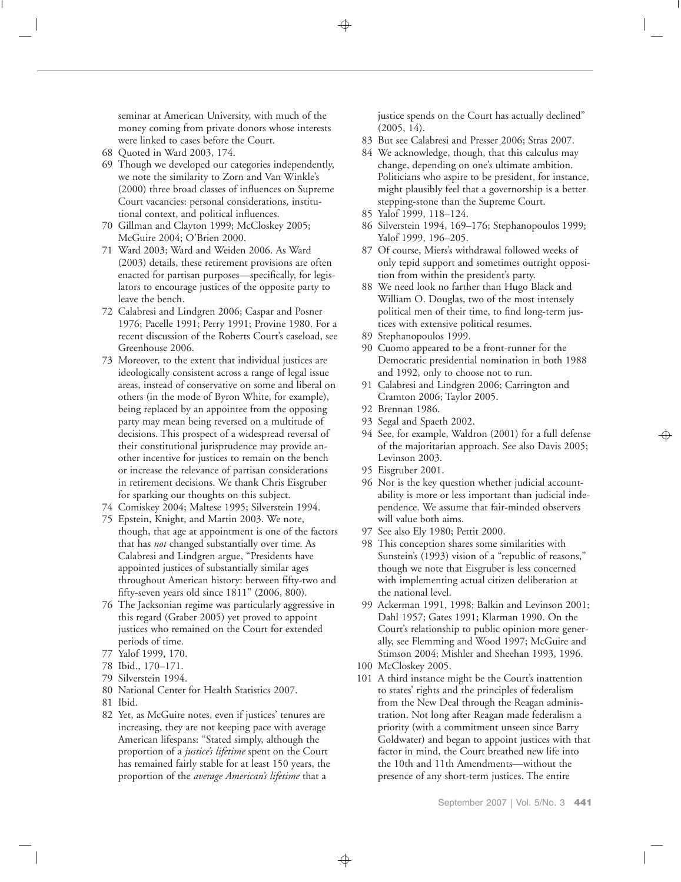seminar at American University, with much of the money coming from private donors whose interests were linked to cases before the Court.

- 68 Quoted in Ward 2003, 174.
- 69 Though we developed our categories independently, we note the similarity to Zorn and Van Winkle's (2000) three broad classes of influences on Supreme Court vacancies: personal considerations, institutional context, and political influences.
- 70 Gillman and Clayton 1999; McCloskey 2005; McGuire 2004; O'Brien 2000.
- 71 Ward 2003; Ward and Weiden 2006. As Ward (2003) details, these retirement provisions are often enacted for partisan purposes—specifically, for legislators to encourage justices of the opposite party to leave the bench.
- 72 Calabresi and Lindgren 2006; Caspar and Posner 1976; Pacelle 1991; Perry 1991; Provine 1980. For a recent discussion of the Roberts Court's caseload, see Greenhouse 2006.
- 73 Moreover, to the extent that individual justices are ideologically consistent across a range of legal issue areas, instead of conservative on some and liberal on others (in the mode of Byron White, for example), being replaced by an appointee from the opposing party may mean being reversed on a multitude of decisions. This prospect of a widespread reversal of their constitutional jurisprudence may provide another incentive for justices to remain on the bench or increase the relevance of partisan considerations in retirement decisions. We thank Chris Eisgruber for sparking our thoughts on this subject.
- 74 Comiskey 2004; Maltese 1995; Silverstein 1994.
- 75 Epstein, Knight, and Martin 2003. We note, though, that age at appointment is one of the factors that has *not* changed substantially over time. As Calabresi and Lindgren argue, "Presidents have appointed justices of substantially similar ages throughout American history: between fifty-two and fifty-seven years old since 1811" (2006, 800).
- 76 The Jacksonian regime was particularly aggressive in this regard (Graber 2005) yet proved to appoint justices who remained on the Court for extended periods of time.
- 77 Yalof 1999, 170.
- 78 Ibid., 170–171.
- 79 Silverstein 1994.
- 80 National Center for Health Statistics 2007.
- 81 Ibid.
- 82 Yet, as McGuire notes, even if justices' tenures are increasing, they are not keeping pace with average American lifespans: "Stated simply, although the proportion of a *justice's lifetime* spent on the Court has remained fairly stable for at least 150 years, the proportion of the *average American's lifetime* that a

justice spends on the Court has actually declined"  $(2005, 14)$ .

- 83 But see Calabresi and Presser 2006; Stras 2007.
- 84 We acknowledge, though, that this calculus may change, depending on one's ultimate ambition. Politicians who aspire to be president, for instance, might plausibly feel that a governorship is a better stepping-stone than the Supreme Court.
- 85 Yalof 1999, 118–124.
- 86 Silverstein 1994, 169–176; Stephanopoulos 1999; Yalof 1999, 196–205.
- 87 Of course, Miers's withdrawal followed weeks of only tepid support and sometimes outright opposition from within the president's party.
- 88 We need look no farther than Hugo Black and William O. Douglas, two of the most intensely political men of their time, to find long-term justices with extensive political resumes.
- 89 Stephanopoulos 1999.
- 90 Cuomo appeared to be a front-runner for the Democratic presidential nomination in both 1988 and 1992, only to choose not to run.
- 91 Calabresi and Lindgren 2006; Carrington and Cramton 2006; Taylor 2005.
- 92 Brennan 1986.
- 93 Segal and Spaeth 2002.
- 94 See, for example, Waldron (2001) for a full defense of the majoritarian approach. See also Davis 2005; Levinson 2003.
- 95 Eisgruber 2001.
- 96 Nor is the key question whether judicial accountability is more or less important than judicial independence. We assume that fair-minded observers will value both aims.
- 97 See also Ely 1980; Pettit 2000.
- 98 This conception shares some similarities with Sunstein's (1993) vision of a "republic of reasons," though we note that Eisgruber is less concerned with implementing actual citizen deliberation at the national level.
- 99 Ackerman 1991, 1998; Balkin and Levinson 2001; Dahl 1957; Gates 1991; Klarman 1990. On the Court's relationship to public opinion more generally, see Flemming and Wood 1997; McGuire and Stimson 2004; Mishler and Sheehan 1993, 1996.
- 100 McCloskey 2005.
- 101 A third instance might be the Court's inattention to states' rights and the principles of federalism from the New Deal through the Reagan administration. Not long after Reagan made federalism a priority (with a commitment unseen since Barry Goldwater) and began to appoint justices with that factor in mind, the Court breathed new life into the 10th and 11th Amendments—without the presence of any short-term justices. The entire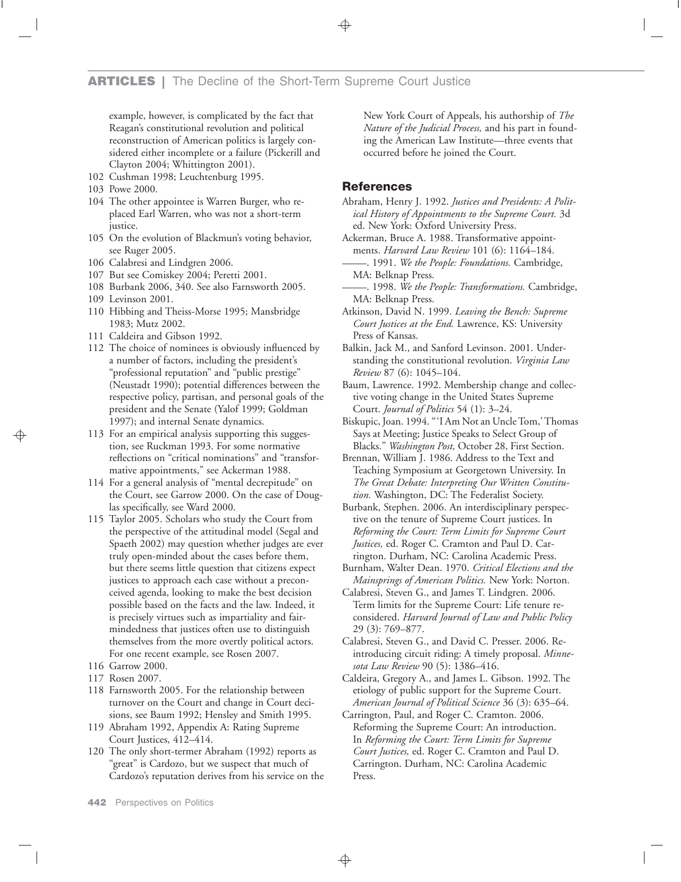example, however, is complicated by the fact that Reagan's constitutional revolution and political reconstruction of American politics is largely considered either incomplete or a failure (Pickerill and Clayton 2004; Whittington 2001).

- 102 Cushman 1998; Leuchtenburg 1995.
- 103 Powe 2000.
- 104 The other appointee is Warren Burger, who replaced Earl Warren, who was not a short-term justice.
- 105 On the evolution of Blackmun's voting behavior, see Ruger 2005.
- 106 Calabresi and Lindgren 2006.
- 107 But see Comiskey 2004; Peretti 2001.
- 108 Burbank 2006, 340. See also Farnsworth 2005.
- 109 Levinson 2001.
- 110 Hibbing and Theiss-Morse 1995; Mansbridge 1983; Mutz 2002.
- 111 Caldeira and Gibson 1992.
- 112 The choice of nominees is obviously influenced by a number of factors, including the president's "professional reputation" and "public prestige" (Neustadt 1990); potential differences between the respective policy, partisan, and personal goals of the president and the Senate (Yalof 1999; Goldman 1997); and internal Senate dynamics.
- 113 For an empirical analysis supporting this suggestion, see Ruckman 1993. For some normative reflections on "critical nominations" and "transformative appointments," see Ackerman 1988.
- 114 For a general analysis of "mental decrepitude" on the Court, see Garrow 2000. On the case of Douglas specifically, see Ward 2000.
- 115 Taylor 2005. Scholars who study the Court from the perspective of the attitudinal model (Segal and Spaeth 2002) may question whether judges are ever truly open-minded about the cases before them, but there seems little question that citizens expect justices to approach each case without a preconceived agenda, looking to make the best decision possible based on the facts and the law. Indeed, it is precisely virtues such as impartiality and fairmindedness that justices often use to distinguish themselves from the more overtly political actors. For one recent example, see Rosen 2007.
- 116 Garrow 2000.
- 117 Rosen 2007.
- 118 Farnsworth 2005. For the relationship between turnover on the Court and change in Court decisions, see Baum 1992; Hensley and Smith 1995.
- 119 Abraham 1992, Appendix A: Rating Supreme Court Justices, 412–414.
- 120 The only short-termer Abraham (1992) reports as "great" is Cardozo, but we suspect that much of Cardozo's reputation derives from his service on the

New York Court of Appeals, his authorship of *The Nature of the Judicial Process,* and his part in founding the American Law Institute—three events that occurred before he joined the Court.

## **References**

- Abraham, Henry J. 1992. *Justices and Presidents: A Political History of Appointments to the Supreme Court.* 3d ed. New York: Oxford University Press.
- Ackerman, Bruce A. 1988. Transformative appoint-
- ments. *Harvard Law Review* 101 (6): 1164–184.<br>— 1991. *We the People: Foundations.* Cambridge, MA: Belknap Press.
- $-$ . 1998. We the People: Transformations. Cambridge, MA: Belknap Press.
- Atkinson, David N. 1999. *Leaving the Bench: Supreme Court Justices at the End.* Lawrence, KS: University Press of Kansas.
- Balkin, Jack M., and Sanford Levinson. 2001. Understanding the constitutional revolution. *Virginia Law Review* 87 (6): 1045–104.
- Baum, Lawrence. 1992. Membership change and collective voting change in the United States Supreme Court. *Journal of Politics* 54 (1): 3–24.
- Biskupic, Joan. 1994. "'I Am Not an Uncle Tom,' Thomas Says at Meeting; Justice Speaks to Select Group of Blacks." *Washington Post,* October 28, First Section.
- Brennan, William J. 1986. Address to the Text and Teaching Symposium at Georgetown University. In *The Great Debate: Interpreting Our Written Constitution.* Washington, DC: The Federalist Society.
- Burbank, Stephen. 2006. An interdisciplinary perspective on the tenure of Supreme Court justices. In *Reforming the Court: Term Limits for Supreme Court Justices,* ed. Roger C. Cramton and Paul D. Carrington. Durham, NC: Carolina Academic Press.
- Burnham, Walter Dean. 1970. *Critical Elections and the Mainsprings of American Politics.* New York: Norton.
- Calabresi, Steven G., and James T. Lindgren. 2006. Term limits for the Supreme Court: Life tenure reconsidered. *Harvard Journal of Law and Public Policy* 29 (3): 769–877.
- Calabresi, Steven G., and David C. Presser. 2006. Reintroducing circuit riding: A timely proposal. *Minnesota Law Review* 90 (5): 1386–416.
- Caldeira, Gregory A., and James L. Gibson. 1992. The etiology of public support for the Supreme Court. *American Journal of Political Science* 36 (3): 635–64.
- Carrington, Paul, and Roger C. Cramton. 2006. Reforming the Supreme Court: An introduction. In *Reforming the Court: Term Limits for Supreme Court Justices,* ed. Roger C. Cramton and Paul D. Carrington. Durham, NC: Carolina Academic Press.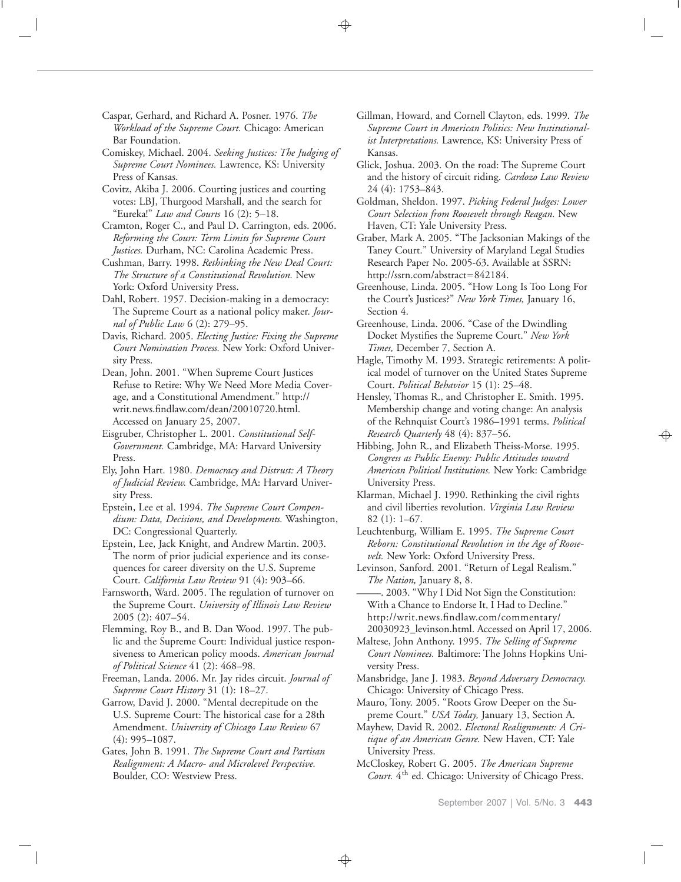Caspar, Gerhard, and Richard A. Posner. 1976. *The Workload of the Supreme Court.* Chicago: American Bar Foundation.

Comiskey, Michael. 2004. *Seeking Justices: The Judging of Supreme Court Nominees.* Lawrence, KS: University Press of Kansas.

Covitz, Akiba J. 2006. Courting justices and courting votes: LBJ, Thurgood Marshall, and the search for "Eureka!" *Law and Courts* 16 (2): 5–18.

Cramton, Roger C., and Paul D. Carrington, eds. 2006. *Reforming the Court: Term Limits for Supreme Court Justices.* Durham, NC: Carolina Academic Press.

Cushman, Barry. 1998. *Rethinking the New Deal Court: The Structure of a Constitutional Revolution.* New York: Oxford University Press.

Dahl, Robert. 1957. Decision-making in a democracy: The Supreme Court as a national policy maker. *Journal of Public Law* 6 (2): 279–95.

Davis, Richard. 2005. *Electing Justice: Fixing the Supreme Court Nomination Process.* New York: Oxford University Press.

Dean, John. 2001. "When Supreme Court Justices Refuse to Retire: Why We Need More Media Coverage, and a Constitutional Amendment." http:// writ.news.findlaw.com/dean/20010720.html. Accessed on January 25, 2007.

Eisgruber, Christopher L. 2001. *Constitutional Self-Government.* Cambridge, MA: Harvard University Press.

Ely, John Hart. 1980. *Democracy and Distrust: A Theory of Judicial Review.* Cambridge, MA: Harvard University Press.

Epstein, Lee et al. 1994. *The Supreme Court Compendium: Data, Decisions, and Developments.* Washington, DC: Congressional Quarterly.

Epstein, Lee, Jack Knight, and Andrew Martin. 2003. The norm of prior judicial experience and its consequences for career diversity on the U.S. Supreme Court. *California Law Review* 91 (4): 903–66.

Farnsworth, Ward. 2005. The regulation of turnover on the Supreme Court. *University of Illinois Law Review* 2005 (2): 407–54.

Flemming, Roy B., and B. Dan Wood. 1997. The public and the Supreme Court: Individual justice responsiveness to American policy moods. *American Journal of Political Science* 41 (2): 468–98.

Freeman, Landa. 2006. Mr. Jay rides circuit. *Journal of Supreme Court History* 31 (1): 18–27.

Garrow, David J. 2000. "Mental decrepitude on the U.S. Supreme Court: The historical case for a 28th Amendment. *University of Chicago Law Review* 67 (4): 995–1087.

Gates, John B. 1991. *The Supreme Court and Partisan Realignment: A Macro- and Microlevel Perspective.* Boulder, CO: Westview Press.

Gillman, Howard, and Cornell Clayton, eds. 1999. *The Supreme Court in American Politics: New Institutionalist Interpretations.* Lawrence, KS: University Press of Kansas.

Glick, Joshua. 2003. On the road: The Supreme Court and the history of circuit riding. *Cardozo Law Review* 24 (4): 1753–843.

Goldman, Sheldon. 1997. *Picking Federal Judges: Lower Court Selection from Roosevelt through Reagan.* New Haven, CT: Yale University Press.

Graber, Mark A. 2005. "The Jacksonian Makings of the Taney Court." University of Maryland Legal Studies Research Paper No. 2005-63. Available at SSRN: http://ssrn.com/abstract=842184.

Greenhouse, Linda. 2005. "How Long Is Too Long For the Court's Justices?" *New York Times,* January 16, Section 4.

Greenhouse, Linda. 2006. "Case of the Dwindling Docket Mystifies the Supreme Court." *New York Times,* December 7, Section A.

Hagle, Timothy M. 1993. Strategic retirements: A political model of turnover on the United States Supreme Court. *Political Behavior* 15 (1): 25–48.

Hensley, Thomas R., and Christopher E. Smith. 1995. Membership change and voting change: An analysis of the Rehnquist Court's 1986–1991 terms. *Political Research Quarterly* 48 (4): 837–56.

Hibbing, John R., and Elizabeth Theiss-Morse. 1995. *Congress as Public Enemy: Public Attitudes toward American Political Institutions.* New York: Cambridge University Press.

Klarman, Michael J. 1990. Rethinking the civil rights and civil liberties revolution. *Virginia Law Review* 82 (1): 1–67.

Leuchtenburg, William E. 1995. *The Supreme Court Reborn: Constitutional Revolution in the Age of Roosevelt.* New York: Oxford University Press.

Levinson, Sanford. 2001. "Return of Legal Realism."<br> *The Nation*, January 8, 8.<br>
<u>2003. "Why I Did Not Sign the Constitution:</u><br>
With a Chance to Endorse It I Had to Decline."

With a Chance to Endorse It, I Had to Decline." http://writ.news.findlaw.com/commentary/ 20030923\_levinson.html. Accessed on April 17, 2006.

Maltese, John Anthony. 1995. *The Selling of Supreme Court Nominees.* Baltimore: The Johns Hopkins University Press.

Mansbridge, Jane J. 1983. *Beyond Adversary Democracy.* Chicago: University of Chicago Press.

Mauro, Tony. 2005. "Roots Grow Deeper on the Supreme Court." *USA Today,* January 13, Section A.

Mayhew, David R. 2002. *Electoral Realignments: A Critique of an American Genre.* New Haven, CT: Yale University Press.

McCloskey, Robert G. 2005. *The American Supreme* Court. 4<sup>th</sup> ed. Chicago: University of Chicago Press.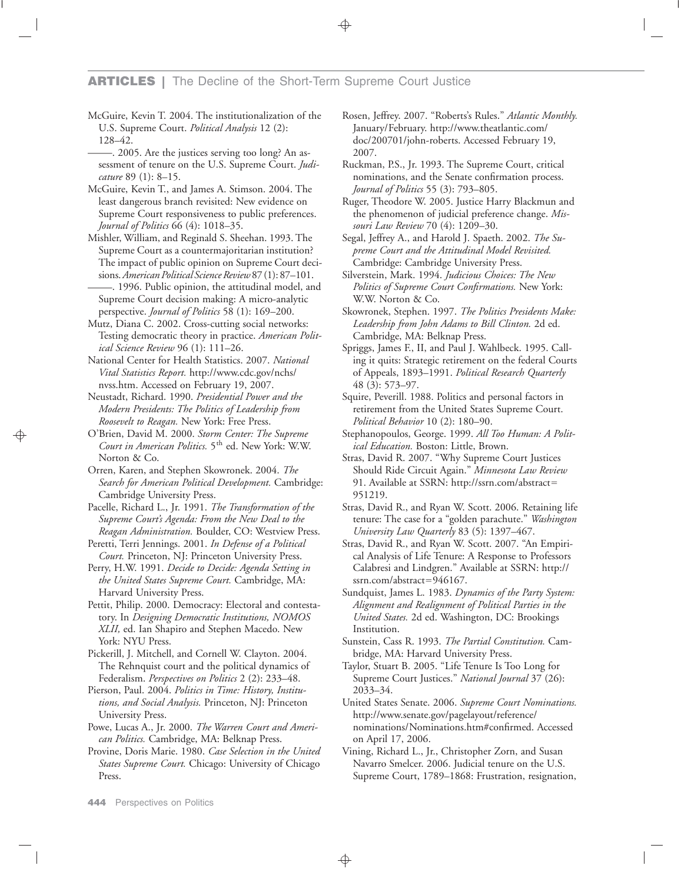McGuire, Kevin T. 2004. The institutionalization of the U.S. Supreme Court. *Political Analysis* 12 (2):

128–42.<br>— 2005. Are the justices serving too long? An assessment of tenure on the U.S. Supreme Court. *Judicature* 89 (1): 8–15.

McGuire, Kevin T., and James A. Stimson. 2004. The least dangerous branch revisited: New evidence on Supreme Court responsiveness to public preferences. *Journal of Politics* 66 (4): 1018–35.

Mishler, William, and Reginald S. Sheehan. 1993. The Supreme Court as a countermajoritarian institution? The impact of public opinion on Supreme Court decisions. *American Political Science Review* 87 (1): 87–101.<br>— 1996. Public opinion, the attitudinal model, and

Supreme Court decision making: A micro-analytic perspective. *Journal of Politics* 58 (1): 169–200.

Mutz, Diana C. 2002. Cross-cutting social networks: Testing democratic theory in practice. *American Political Science Review* 96 (1): 111–26.

National Center for Health Statistics. 2007. *National Vital Statistics Report.* http://www.cdc.gov/nchs/ nvss.htm. Accessed on February 19, 2007.

Neustadt, Richard. 1990. *Presidential Power and the Modern Presidents: The Politics of Leadership from Roosevelt to Reagan.* New York: Free Press.

O'Brien, David M. 2000. *Storm Center: The Supreme Court in American Politics.* 5th ed. New York: W.W. Norton & Co.

Orren, Karen, and Stephen Skowronek. 2004. *The Search for American Political Development.* Cambridge: Cambridge University Press.

Pacelle, Richard L., Jr. 1991. *The Transformation of the Supreme Court's Agenda: From the New Deal to the Reagan Administration.* Boulder, CO: Westview Press.

Peretti, Terri Jennings. 2001. *In Defense of a Political Court.* Princeton, NJ: Princeton University Press.

Perry, H.W. 1991. *Decide to Decide: Agenda Setting in the United States Supreme Court.* Cambridge, MA: Harvard University Press.

Pettit, Philip. 2000. Democracy: Electoral and contestatory. In *Designing Democratic Institutions, NOMOS XLII,* ed. Ian Shapiro and Stephen Macedo. New York: NYU Press.

Pickerill, J. Mitchell, and Cornell W. Clayton. 2004. The Rehnquist court and the political dynamics of Federalism. *Perspectives on Politics* 2 (2): 233–48.

Pierson, Paul. 2004. *Politics in Time: History, Institutions, and Social Analysis.* Princeton, NJ: Princeton University Press.

Powe, Lucas A., Jr. 2000. *The Warren Court and American Politics.* Cambridge, MA: Belknap Press.

Provine, Doris Marie. 1980. *Case Selection in the United States Supreme Court.* Chicago: University of Chicago Press.

Rosen, Jeffrey. 2007. "Roberts's Rules." *Atlantic Monthly.* January/February. http://www.theatlantic.com/ doc/200701/john-roberts. Accessed February 19, 2007.

Ruckman, P.S., Jr. 1993. The Supreme Court, critical nominations, and the Senate confirmation process. *Journal of Politics* 55 (3): 793–805.

Ruger, Theodore W. 2005. Justice Harry Blackmun and the phenomenon of judicial preference change. *Missouri Law Review* 70 (4): 1209–30.

Segal, Jeffrey A., and Harold J. Spaeth. 2002. *The Supreme Court and the Attitudinal Model Revisited.* Cambridge: Cambridge University Press.

Silverstein, Mark. 1994. *Judicious Choices: The New Politics of Supreme Court Confirmations.* New York: W.W. Norton & Co.

Skowronek, Stephen. 1997. *The Politics Presidents Make: Leadership from John Adams to Bill Clinton.* 2d ed. Cambridge, MA: Belknap Press.

Spriggs, James F., II, and Paul J. Wahlbeck. 1995. Calling it quits: Strategic retirement on the federal Courts of Appeals, 1893–1991. *Political Research Quarterly* 48 (3): 573–97.

Squire, Peverill. 1988. Politics and personal factors in retirement from the United States Supreme Court. *Political Behavior* 10 (2): 180–90.

Stephanopoulos, George. 1999. *All Too Human: A Political Education.* Boston: Little, Brown.

Stras, David R. 2007. "Why Supreme Court Justices Should Ride Circuit Again." *Minnesota Law Review* 91. Available at SSRN: http://ssrn.com/abstract 951219.

Stras, David R., and Ryan W. Scott. 2006. Retaining life tenure: The case for a "golden parachute." *Washington University Law Quarterly* 83 (5): 1397–467.

Stras, David R., and Ryan W. Scott. 2007. "An Empirical Analysis of Life Tenure: A Response to Professors Calabresi and Lindgren." Available at SSRN: http:// ssrn.com/abstract=946167.

Sundquist, James L. 1983. *Dynamics of the Party System: Alignment and Realignment of Political Parties in the United States.* 2d ed. Washington, DC: Brookings Institution.

Sunstein, Cass R. 1993. *The Partial Constitution.* Cambridge, MA: Harvard University Press.

Taylor, Stuart B. 2005. "Life Tenure Is Too Long for Supreme Court Justices." *National Journal* 37 (26): 2033–34.

United States Senate. 2006. *Supreme Court Nominations.* http://www.senate.gov/pagelayout/reference/ nominations/Nominations.htm#confirmed. Accessed on April 17, 2006.

Vining, Richard L., Jr., Christopher Zorn, and Susan Navarro Smelcer. 2006. Judicial tenure on the U.S. Supreme Court, 1789–1868: Frustration, resignation,